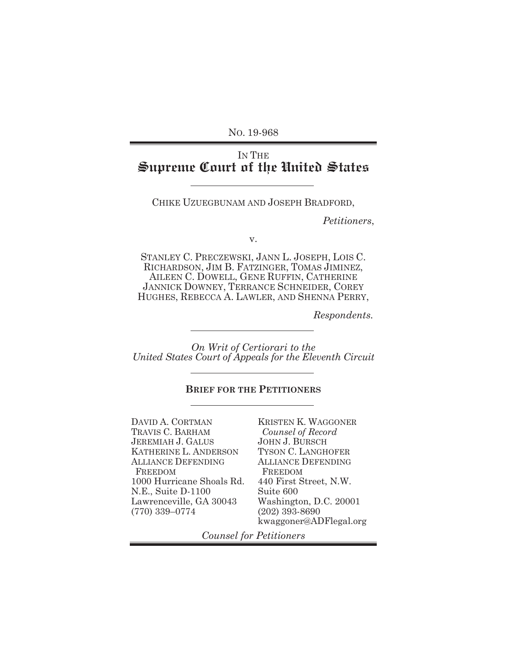NO. 19-968

# IN THE **Supreme Court of the United States**

CHIKE UZUEGBUNAM AND JOSEPH BRADFORD,

 *Petitioners*,

v.

STANLEY C. PRECZEWSKI, JANN L. JOSEPH, LOIS C. RICHARDSON, JIM B. FATZINGER, TOMAS JIMINEZ, AILEEN C. DOWELL, GENE RUFFIN, CATHERINE JANNICK DOWNEY, TERRANCE SCHNEIDER, COREY HUGHES, REBECCA A. LAWLER, AND SHENNA PERRY,

*Respondents.*

*On Writ of Certiorari to the United States Court of Appeals for the Eleventh Circuit* 

#### **BRIEF FOR THE PETITIONERS**

DAVID A. CORTMAN TRAVIS C. BARHAM JEREMIAH J. GALUS KATHERINE L. ANDERSON ALLIANCE DEFENDING FREEDOM 1000 Hurricane Shoals Rd. N.E., Suite D-1100 Lawrenceville, GA 30043 (770) 339–0774

KRISTEN K. WAGGONER *Counsel of Record*  JOHN J. BURSCH TYSON C. LANGHOFER ALLIANCE DEFENDING FREEDOM 440 First Street, N.W. Suite 600 Washington, D.C. 20001 (202) 393-8690 kwaggoner@ADFlegal.org

*Counsel for Petitioners*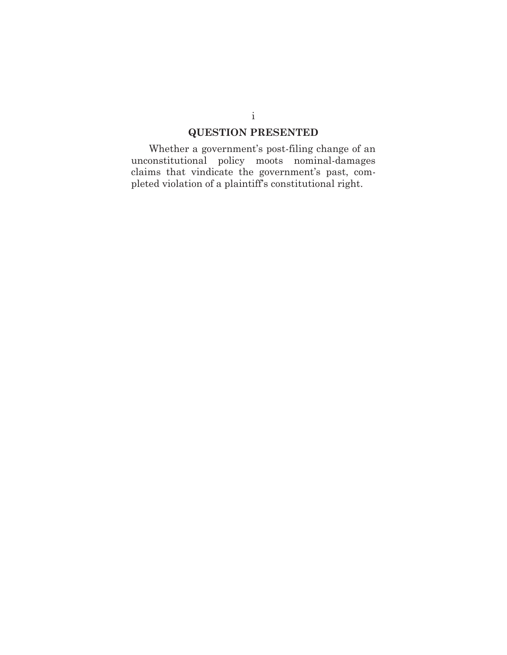# **QUESTION PRESENTED**

Whether a government's post-filing change of an unconstitutional policy moots nominal-damages claims that vindicate the government's past, completed violation of a plaintiff's constitutional right.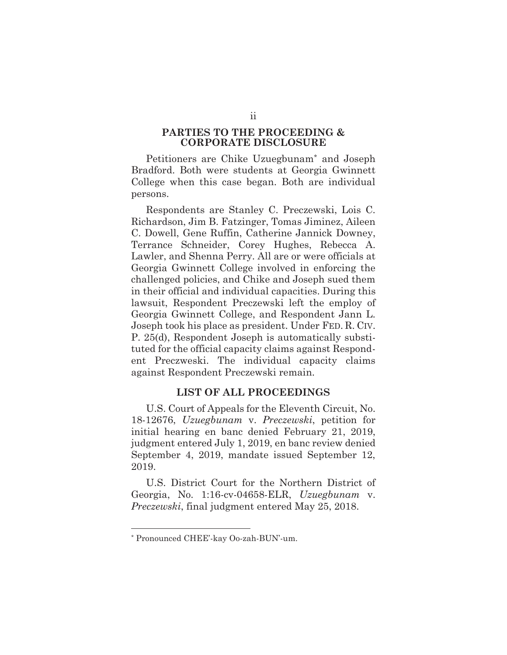#### **PARTIES TO THE PROCEEDING & CORPORATE DISCLOSURE**

Petitioners are Chike Uzuegbunam\* and Joseph Bradford. Both were students at Georgia Gwinnett College when this case began. Both are individual persons.

Respondents are Stanley C. Preczewski, Lois C. Richardson, Jim B. Fatzinger, Tomas Jiminez, Aileen C. Dowell, Gene Ruffin, Catherine Jannick Downey, Terrance Schneider, Corey Hughes, Rebecca A. Lawler, and Shenna Perry. All are or were officials at Georgia Gwinnett College involved in enforcing the challenged policies, and Chike and Joseph sued them in their official and individual capacities. During this lawsuit, Respondent Preczewski left the employ of Georgia Gwinnett College, and Respondent Jann L. Joseph took his place as president. Under FED. R. CIV. P. 25(d), Respondent Joseph is automatically substituted for the official capacity claims against Respondent Preczweski. The individual capacity claims against Respondent Preczewski remain.

#### **LIST OF ALL PROCEEDINGS**

U.S. Court of Appeals for the Eleventh Circuit, No. 18-12676, *Uzuegbunam* v. *Preczewski*, petition for initial hearing en banc denied February 21, 2019, judgment entered July 1, 2019, en banc review denied September 4, 2019, mandate issued September 12, 2019.

U.S. District Court for the Northern District of Georgia, No. 1:16-cv-04658-ELR, *Uzuegbunam* v. *Preczewski*, final judgment entered May 25, 2018.

<sup>\*</sup> Pronounced CHEE'-kay Oo-zah-BUN'-um.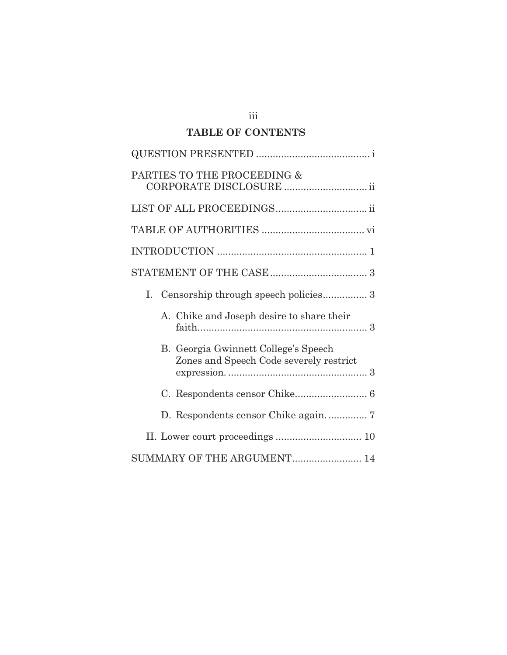# **TABLE OF CONTENTS**

| PARTIES TO THE PROCEEDING &<br>CORPORATE DISCLOSURE  ii                         |
|---------------------------------------------------------------------------------|
|                                                                                 |
|                                                                                 |
|                                                                                 |
|                                                                                 |
| Ι.                                                                              |
| A. Chike and Joseph desire to share their                                       |
| B. Georgia Gwinnett College's Speech<br>Zones and Speech Code severely restrict |
|                                                                                 |
|                                                                                 |
|                                                                                 |
| SUMMARY OF THE ARGUMENT 14                                                      |

iii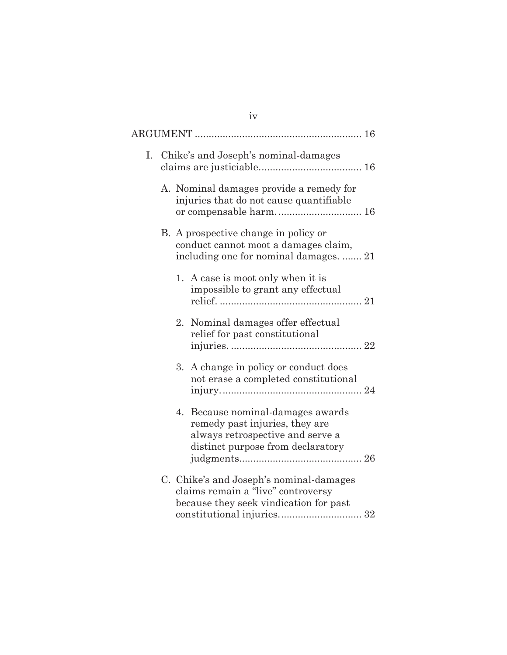|    | iv                                                                                                                                              |
|----|-------------------------------------------------------------------------------------------------------------------------------------------------|
|    |                                                                                                                                                 |
| I. | Chike's and Joseph's nominal-damages                                                                                                            |
|    | A. Nominal damages provide a remedy for<br>injuries that do not cause quantifiable<br>or compensable harm 16                                    |
|    | B. A prospective change in policy or<br>conduct cannot moot a damages claim,<br>including one for nominal damages.  21                          |
|    | 1. A case is moot only when it is<br>impossible to grant any effectual                                                                          |
|    | Nominal damages offer effectual<br>2.<br>relief for past constitutional                                                                         |
|    | A change in policy or conduct does<br>3.<br>not erase a completed constitutional                                                                |
|    | Because nominal-damages awards<br>4.<br>remedy past injuries, they are<br>always retrospective and serve a<br>distinct purpose from declaratory |
|    | C. Chike's and Joseph's nominal-damages<br>claims remain a "live" controversy<br>because they seek vindication for past                         |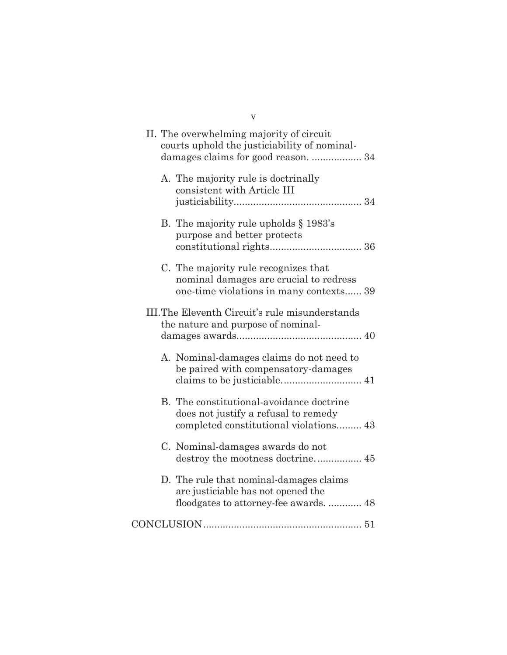| $\mathbf v$                                                                                                                     |
|---------------------------------------------------------------------------------------------------------------------------------|
| II. The overwhelming majority of circuit<br>courts uphold the justiciability of nominal-<br>damages claims for good reason.  34 |
| A. The majority rule is doctrinally<br>consistent with Article III                                                              |
| B. The majority rule upholds $\S 1983$ 's<br>purpose and better protects                                                        |
| C. The majority rule recognizes that<br>nominal damages are crucial to redress<br>one-time violations in many contexts 39       |
| III. The Eleventh Circuit's rule misunderstands<br>the nature and purpose of nominal-                                           |
| A. Nominal-damages claims do not need to<br>be paired with compensatory-damages                                                 |
| B. The constitutional-avoidance doctrine<br>does not justify a refusal to remedy<br>completed constitutional violations 43      |
| C. Nominal-damages awards do not<br>destroy the mootness doctrine 45                                                            |
| D. The rule that nominal-damages claims<br>are justiciable has not opened the<br>floodgates to attorney-fee awards.  48         |
|                                                                                                                                 |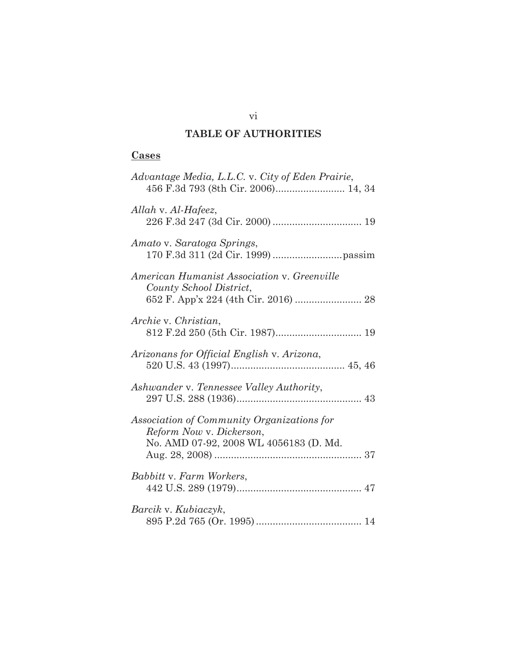# **TABLE OF AUTHORITIES**

# **Cases**

| Advantage Media, L.L.C. v. City of Eden Prairie,                                                                 |
|------------------------------------------------------------------------------------------------------------------|
| Allah v. Al-Hafeez,                                                                                              |
| Amato v. Saratoga Springs,                                                                                       |
| American Humanist Association v. Greenville<br>County School District,<br>652 F. App'x 224 (4th Cir. 2016)  28   |
| Archie v. Christian,                                                                                             |
| Arizonans for Official English v. Arizona,                                                                       |
| Ashwander v. Tennessee Valley Authority,                                                                         |
| Association of Community Organizations for<br>Reform Now v. Dickerson,<br>No. AMD 07-92, 2008 WL 4056183 (D. Md. |
| Babbitt v. Farm Workers,                                                                                         |
| Barcik v. Kubiaczyk,                                                                                             |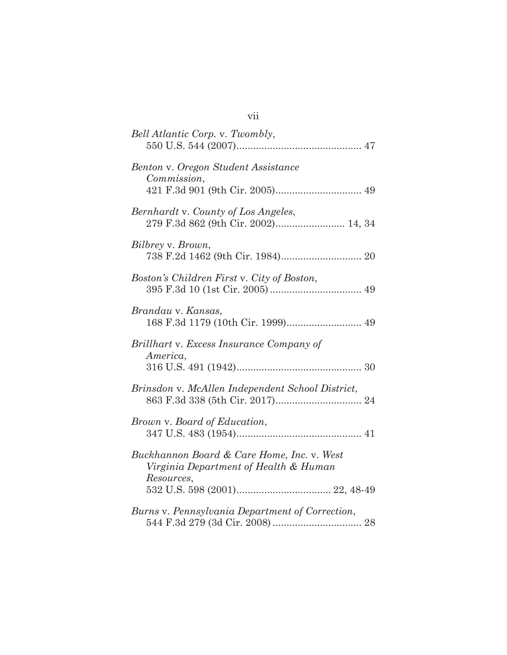| Bell Atlantic Corp. v. Twombly,                                                                   |
|---------------------------------------------------------------------------------------------------|
| Benton v. Oregon Student Assistance<br>Commission,                                                |
| Bernhardt v. County of Los Angeles,<br>279 F.3d 862 (9th Cir. 2002) 14, 34                        |
| Bilbrey v. Brown,                                                                                 |
| Boston's Children First v. City of Boston,                                                        |
| Brandau v. Kansas,                                                                                |
| Brillhart v. Excess Insurance Company of<br>America,                                              |
| Brinsdon v. McAllen Independent School District,                                                  |
| Brown v. Board of Education,                                                                      |
| Buckhannon Board & Care Home, Inc. v. West<br>Virginia Department of Health & Human<br>Resources, |
| Burns v. Pennsylvania Department of Correction,                                                   |

# vii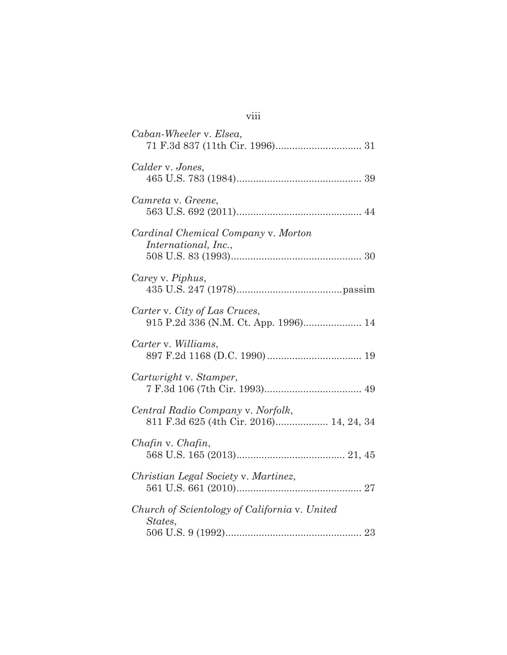| Caban-Wheeler v. Elsea,                                                      |
|------------------------------------------------------------------------------|
| Calder v. Jones,                                                             |
| Camreta v. Greene,                                                           |
| Cardinal Chemical Company v. Morton<br>International, Inc.,                  |
| Carey v. Piphus,                                                             |
| Carter v. City of Las Cruces,                                                |
| Carter v. Williams,                                                          |
| Cartwright v. Stamper,                                                       |
| Central Radio Company v. Norfolk,<br>811 F.3d 625 (4th Cir. 2016) 14, 24, 34 |
| Chafin v. Chafin,                                                            |
| Christian Legal Society v. Martinez,                                         |
| Church of Scientology of California v. United<br>States,                     |

| × |  |  |
|---|--|--|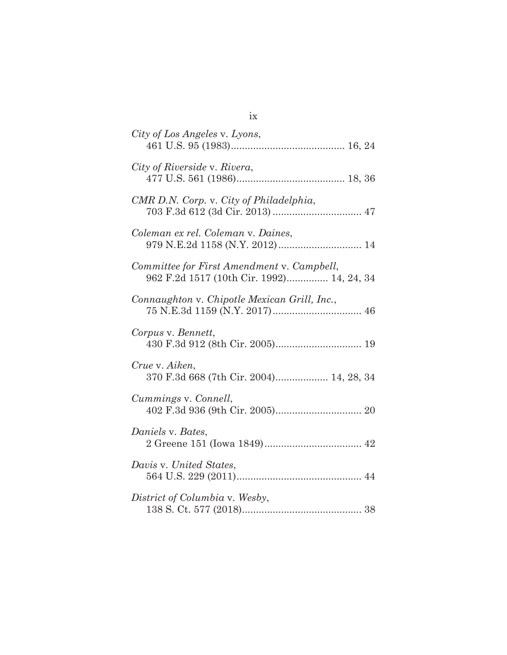| City of Los Angeles v. Lyons,                                                           |
|-----------------------------------------------------------------------------------------|
| City of Riverside v. Rivera,                                                            |
| CMR D.N. Corp. v. City of Philadelphia,                                                 |
| Coleman ex rel. Coleman v. Daines,<br>979 N.E.2d 1158 (N.Y. 2012) 14                    |
| Committee for First Amendment v. Campbell,<br>962 F.2d 1517 (10th Cir. 1992) 14, 24, 34 |
| Connaughton v. Chipotle Mexican Grill, Inc.,                                            |
| Corpus v. Bennett,                                                                      |
| Crue v. Aiken,<br>370 F.3d 668 (7th Cir. 2004) 14, 28, 34                               |
| Cummings v. Connell,                                                                    |
| Daniels v. Bates,                                                                       |
| Davis v. United States,                                                                 |
| District of Columbia v. Wesby,                                                          |

ix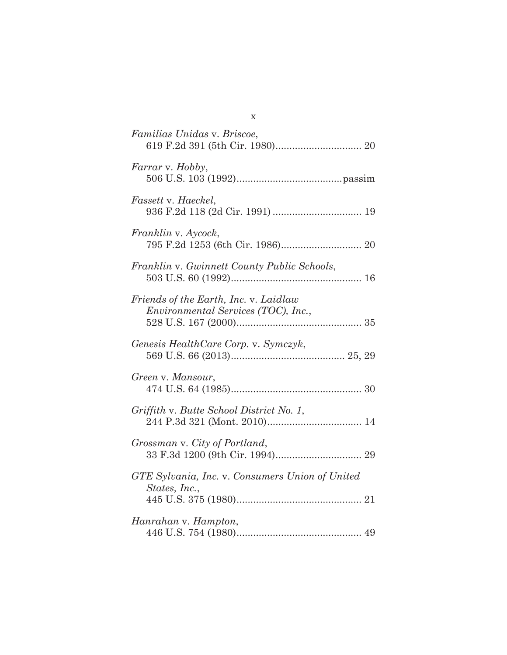| Familias Unidas v. Briscoe,                                                         |
|-------------------------------------------------------------------------------------|
| Farrar v. Hobby,                                                                    |
| Fassett v. Haeckel,                                                                 |
| Franklin v. Aycock,                                                                 |
| Franklin v. Gwinnett County Public Schools,                                         |
| Friends of the Earth, Inc. v. Laidlaw<br><i>Environmental Services (TOC), Inc.,</i> |
| Genesis HealthCare Corp. v. Symczyk,                                                |
| Green v. Mansour,                                                                   |
| Griffith v. Butte School District No. 1,                                            |
| Grossman v. City of Portland,                                                       |
| GTE Sylvania, Inc. v. Consumers Union of United<br>States, Inc.,                    |
| Hanrahan v. Hampton,                                                                |

x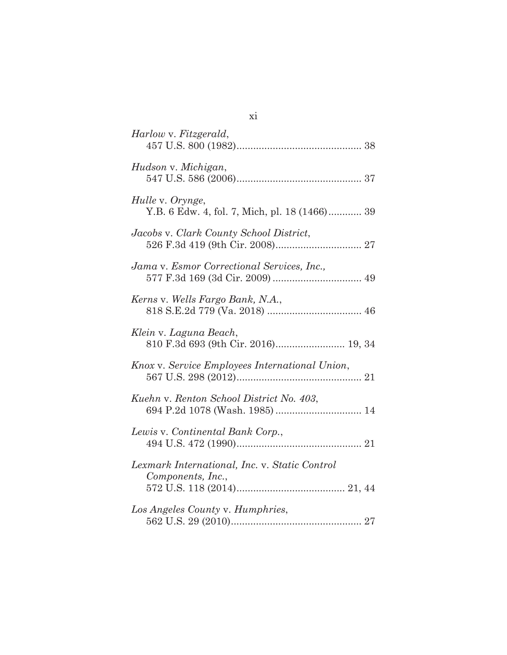| Harlow v. Fitzgerald,                                                     |
|---------------------------------------------------------------------------|
| Hudson v. Michigan,                                                       |
| Hulle v. Orynge,<br>Y.B. 6 Edw. 4, fol. 7, Mich, pl. 18 (1466) 39         |
| Jacobs v. Clark County School District,                                   |
| Jama v. Esmor Correctional Services, Inc.,                                |
| Kerns v. Wells Fargo Bank, N.A.,                                          |
| Klein v. Laguna Beach,<br>810 F.3d 693 (9th Cir. 2016) 19, 34             |
| Knox v. Service Employees International Union,                            |
| Kuehn v. Renton School District No. 403,<br>694 P.2d 1078 (Wash. 1985) 14 |
| Lewis v. Continental Bank Corp.,                                          |
| Lexmark International, Inc. v. Static Control<br>Components, Inc.,        |
| Los Angeles County v. Humphries,                                          |

xi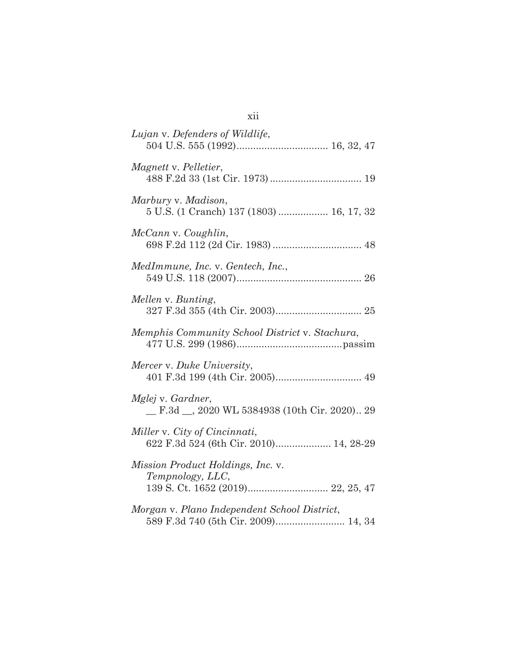| Lujan v. Defenders of Wildlife,                                         |
|-------------------------------------------------------------------------|
| Magnett v. Pelletier,                                                   |
| Marbury v. Madison,<br>5 U.S. (1 Cranch) 137 (1803)  16, 17, 32         |
| McCann v. Coughlin,                                                     |
| MedImmune, Inc. v. Gentech, Inc.,                                       |
| Mellen v. Bunting,                                                      |
| Memphis Community School District v. Stachura,                          |
| Mercer v. Duke University,                                              |
| Mglej v. Gardner,<br>F.3d _, 2020 WL 5384938 (10th Cir. 2020) 29        |
| Miller v. City of Cincinnati,<br>622 F.3d 524 (6th Cir. 2010) 14, 28-29 |
| Mission Product Holdings, Inc. v.<br>Tempnology, LLC,                   |
| Morgan v. Plano Independent School District,                            |

xii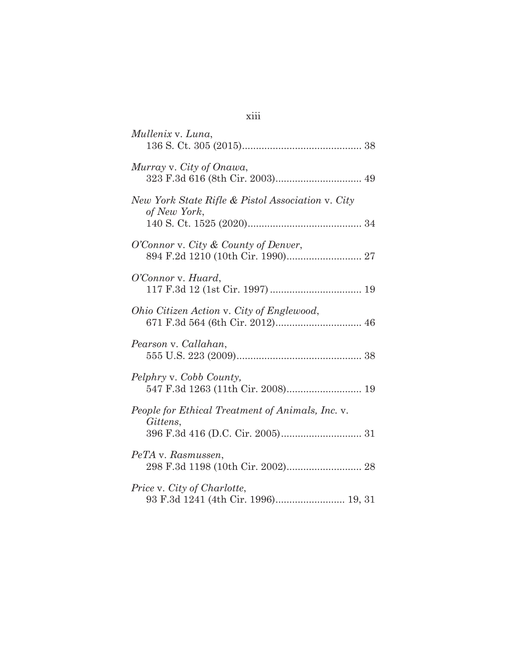| Mullenix v. Luna,                                                  |
|--------------------------------------------------------------------|
| Murray v. City of Onawa,                                           |
| New York State Rifle & Pistol Association v. City<br>of New York,  |
| O'Connor v. City & County of Denver,                               |
| O'Connor v. Huard,                                                 |
| Ohio Citizen Action v. City of Englewood,                          |
| Pearson v. Callahan,                                               |
| Pelphry v. Cobb County,<br>547 F.3d 1263 (11th Cir. 2008) 19       |
| People for Ethical Treatment of Animals, Inc. v.<br>Gittens,       |
| PeTA v. Rasmussen,                                                 |
| Price v. City of Charlotte,<br>93 F.3d 1241 (4th Cir. 1996) 19, 31 |

xiii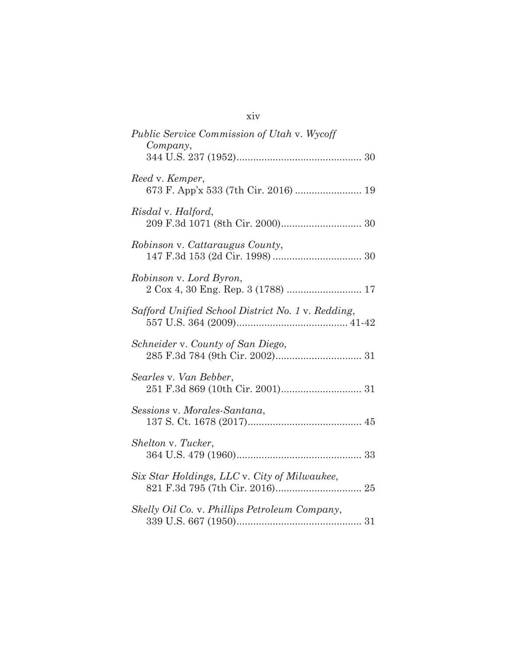| <i>Public Service Commission of Utah v. Wycoff</i><br>Company, |
|----------------------------------------------------------------|
|                                                                |
| Reed v. Kemper,                                                |
| Risdal v. Halford,                                             |
| <i>Robinson v. Cattaraugus County,</i>                         |
| Robinson v. Lord Byron,<br>2 Cox 4, 30 Eng. Rep. 3 (1788)  17  |
| Safford Unified School District No. 1 v. Redding,              |
| Schneider v. County of San Diego,                              |
| Searles v. Van Bebber,                                         |
| Sessions v. Morales-Santana,                                   |
| Shelton v. Tucker,                                             |
| Six Star Holdings, LLC v. City of Milwaukee,                   |
| Skelly Oil Co. v. Phillips Petroleum Company,                  |

xiv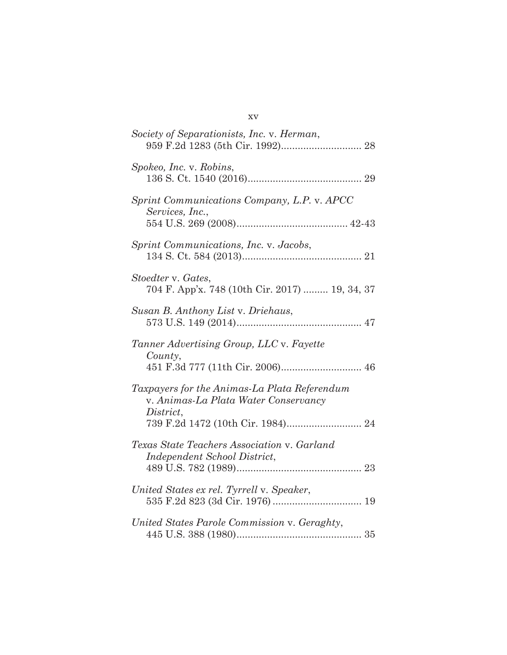| Society of Separationists, Inc. v. Herman,                                                        |
|---------------------------------------------------------------------------------------------------|
| Spokeo, Inc. v. Robins,                                                                           |
| Sprint Communications Company, L.P. v. APCC<br>Services, Inc.,                                    |
| Sprint Communications, Inc. v. Jacobs,                                                            |
| Stoedter v. Gates,<br>704 F. App'x. 748 (10th Cir. 2017)  19, 34, 37                              |
| Susan B. Anthony List v. Driehaus,                                                                |
| Tanner Advertising Group, LLC v. Fayette<br>Country,<br>451 F.3d 777 (11th Cir. 2006) 46          |
| Taxpayers for the Animas-La Plata Referendum<br>v. Animas-La Plata Water Conservancy<br>District, |
| Texas State Teachers Association v. Garland<br>Independent School District,                       |
| United States ex rel. Tyrrell v. Speaker,                                                         |
| United States Parole Commission v. Geraghty,                                                      |

xv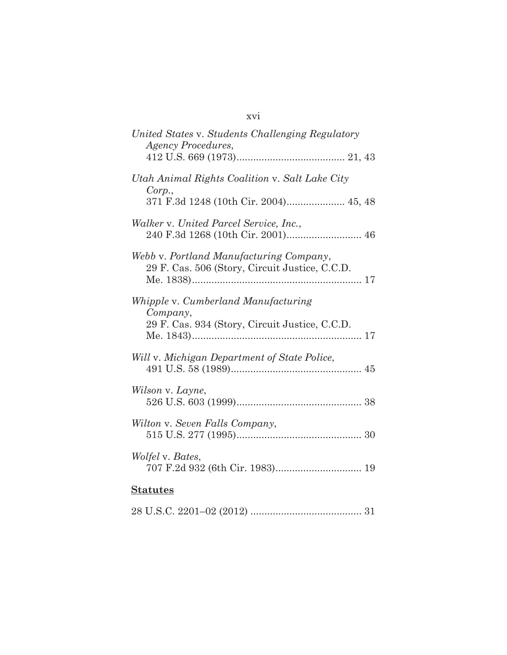| United States v. Students Challenging Regulatory<br><b>Agency Procedures,</b>                     |
|---------------------------------------------------------------------------------------------------|
|                                                                                                   |
| Utah Animal Rights Coalition v. Salt Lake City<br>Corp.,<br>371 F.3d 1248 (10th Cir. 2004) 45, 48 |
|                                                                                                   |
| Walker v. United Parcel Service, Inc.,                                                            |
| Webb v. Portland Manufacturing Company,<br>29 F. Cas. 506 (Story, Circuit Justice, C.C.D.         |
| Whipple v. Cumberland Manufacturing                                                               |
| Company,<br>29 F. Cas. 934 (Story, Circuit Justice, C.C.D.                                        |
| Will v. Michigan Department of State Police,                                                      |
| Wilson v. Layne,                                                                                  |
| Wilton v. Seven Falls Company,                                                                    |
| <i>Wolfel</i> v. Bates,<br>707 F.2d 932 (6th Cir. 1983) 19                                        |
| <b>Statutes</b>                                                                                   |

|--|--|--|

# xvi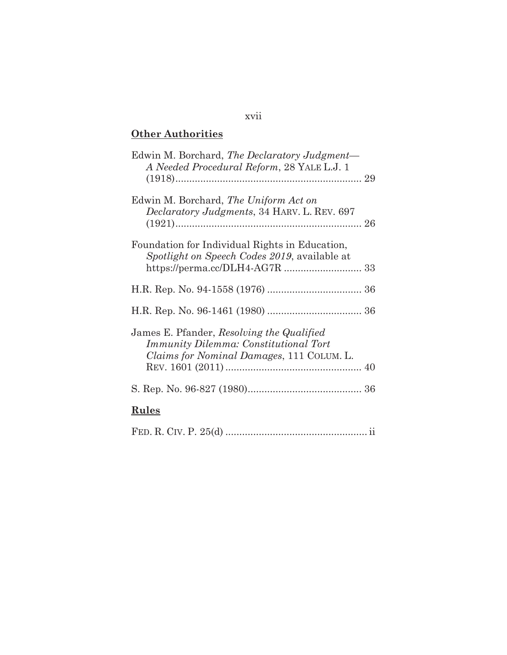# **Other Authorities**

| Edwin M. Borchard, The Declaratory Judgment—<br>A Needed Procedural Reform, 28 YALE L.J. 1                                             |
|----------------------------------------------------------------------------------------------------------------------------------------|
| Edwin M. Borchard, The Uniform Act on<br>Declaratory Judgments, 34 HARV. L. REV. 697                                                   |
| Foundation for Individual Rights in Education,<br>Spotlight on Speech Codes 2019, available at                                         |
|                                                                                                                                        |
|                                                                                                                                        |
| James E. Pfander, Resolving the Qualified<br><b>Immunity Dilemma: Constitutional Tort</b><br>Claims for Nominal Damages, 111 COLUM. L. |
|                                                                                                                                        |
| <u>Rules</u>                                                                                                                           |
|                                                                                                                                        |

xvii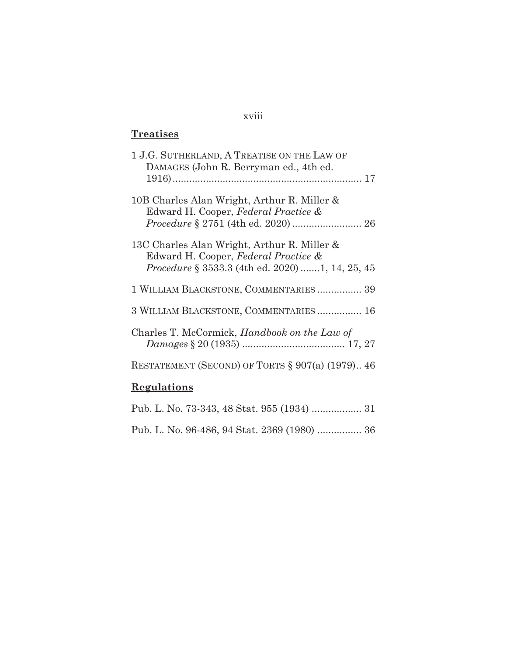# xviii

# **Treatises**

| 1 J.G. SUTHERLAND, A TREATISE ON THE LAW OF<br>DAMAGES (John R. Berryman ed., 4th ed.                                                         |
|-----------------------------------------------------------------------------------------------------------------------------------------------|
| 10B Charles Alan Wright, Arthur R. Miller &<br>Edward H. Cooper, Federal Practice &                                                           |
| 13C Charles Alan Wright, Arthur R. Miller &<br>Edward H. Cooper, Federal Practice &<br><i>Procedure</i> § 3533.3 (4th ed. 2020) 1, 14, 25, 45 |
| 1 WILLIAM BLACKSTONE, COMMENTARIES 39                                                                                                         |
| 3 WILLIAM BLACKSTONE, COMMENTARIES 16                                                                                                         |
| Charles T. McCormick, Handbook on the Law of                                                                                                  |
| RESTATEMENT (SECOND) OF TORTS $\S 907(a)$ (1979) 46                                                                                           |
| Regulations                                                                                                                                   |

|  |  |  |  | Pub. L. No. 96-486, 94 Stat. 2369 (1980)  36 |  |
|--|--|--|--|----------------------------------------------|--|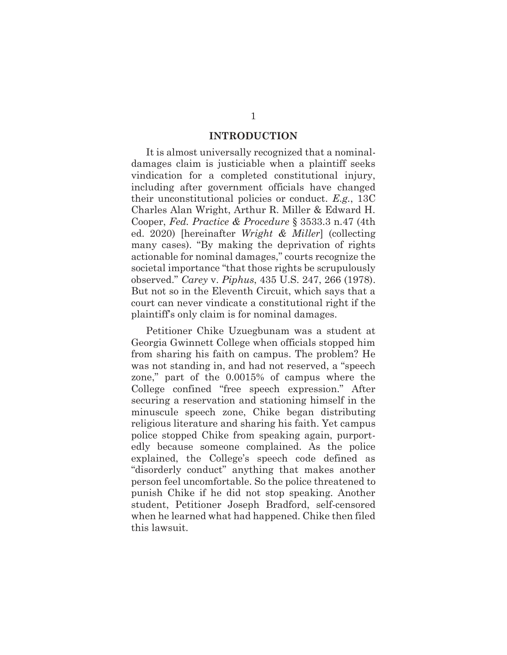#### **INTRODUCTION**

It is almost universally recognized that a nominaldamages claim is justiciable when a plaintiff seeks vindication for a completed constitutional injury, including after government officials have changed their unconstitutional policies or conduct. *E.g.*, 13C Charles Alan Wright, Arthur R. Miller & Edward H. Cooper, *Fed. Practice & Procedure* § 3533.3 n.47 (4th ed. 2020) [hereinafter *Wright & Miller*] (collecting many cases). "By making the deprivation of rights actionable for nominal damages," courts recognize the societal importance "that those rights be scrupulously observed." *Carey* v. *Piphus*, 435 U.S. 247, 266 (1978). But not so in the Eleventh Circuit, which says that a court can never vindicate a constitutional right if the plaintiff's only claim is for nominal damages.

Petitioner Chike Uzuegbunam was a student at Georgia Gwinnett College when officials stopped him from sharing his faith on campus. The problem? He was not standing in, and had not reserved, a "speech zone," part of the 0.0015% of campus where the College confined "free speech expression." After securing a reservation and stationing himself in the minuscule speech zone, Chike began distributing religious literature and sharing his faith. Yet campus police stopped Chike from speaking again, purportedly because someone complained. As the police explained, the College's speech code defined as "disorderly conduct" anything that makes another person feel uncomfortable. So the police threatened to punish Chike if he did not stop speaking. Another student, Petitioner Joseph Bradford, self-censored when he learned what had happened. Chike then filed this lawsuit.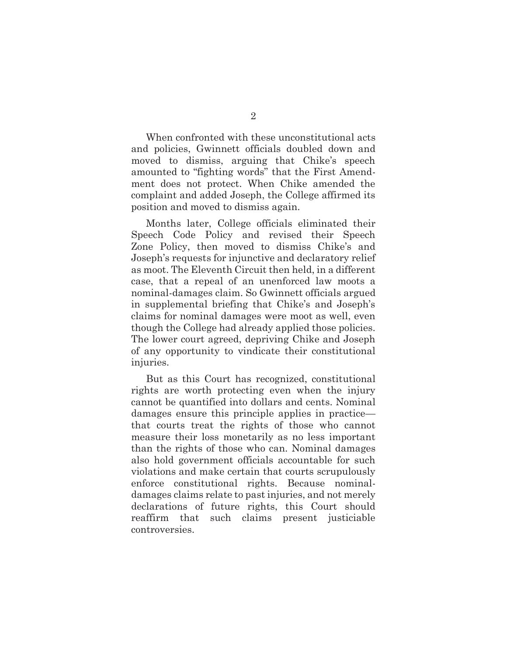When confronted with these unconstitutional acts and policies, Gwinnett officials doubled down and moved to dismiss, arguing that Chike's speech amounted to "fighting words" that the First Amendment does not protect. When Chike amended the complaint and added Joseph, the College affirmed its position and moved to dismiss again.

Months later, College officials eliminated their Speech Code Policy and revised their Speech Zone Policy, then moved to dismiss Chike's and Joseph's requests for injunctive and declaratory relief as moot. The Eleventh Circuit then held, in a different case, that a repeal of an unenforced law moots a nominal-damages claim. So Gwinnett officials argued in supplemental briefing that Chike's and Joseph's claims for nominal damages were moot as well, even though the College had already applied those policies. The lower court agreed, depriving Chike and Joseph of any opportunity to vindicate their constitutional injuries.

But as this Court has recognized, constitutional rights are worth protecting even when the injury cannot be quantified into dollars and cents. Nominal damages ensure this principle applies in practice that courts treat the rights of those who cannot measure their loss monetarily as no less important than the rights of those who can. Nominal damages also hold government officials accountable for such violations and make certain that courts scrupulously enforce constitutional rights. Because nominaldamages claims relate to past injuries, and not merely declarations of future rights, this Court should reaffirm that such claims present justiciable controversies.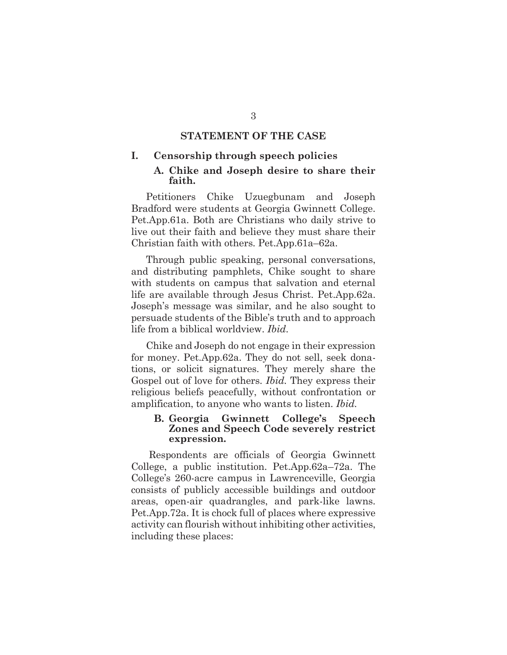### **STATEMENT OF THE CASE**

#### **I. Censorship through speech policies**

#### **A. Chike and Joseph desire to share their faith.**

Petitioners Chike Uzuegbunam and Joseph Bradford were students at Georgia Gwinnett College. Pet.App.61a. Both are Christians who daily strive to live out their faith and believe they must share their Christian faith with others. Pet.App.61a–62a.

Through public speaking, personal conversations, and distributing pamphlets, Chike sought to share with students on campus that salvation and eternal life are available through Jesus Christ. Pet.App.62a. Joseph's message was similar, and he also sought to persuade students of the Bible's truth and to approach life from a biblical worldview. *Ibid*.

Chike and Joseph do not engage in their expression for money. Pet.App.62a. They do not sell, seek donations, or solicit signatures. They merely share the Gospel out of love for others. *Ibid.* They express their religious beliefs peacefully, without confrontation or amplification, to anyone who wants to listen. *Ibid.*

#### **B. Georgia Gwinnett College's Speech Zones and Speech Code severely restrict expression.**

Respondents are officials of Georgia Gwinnett College, a public institution. Pet.App.62a–72a. The College's 260-acre campus in Lawrenceville, Georgia consists of publicly accessible buildings and outdoor areas, open-air quadrangles, and park-like lawns. Pet.App.72a. It is chock full of places where expressive activity can flourish without inhibiting other activities, including these places: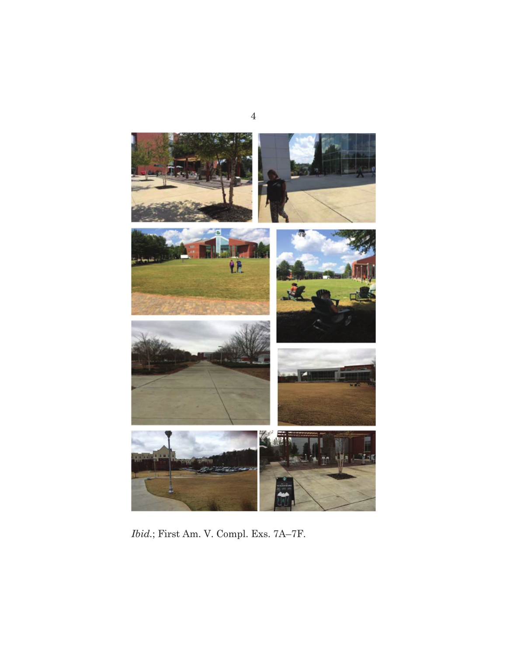

*Ibid.*; First Am. V. Compl. Exs. 7A–7F.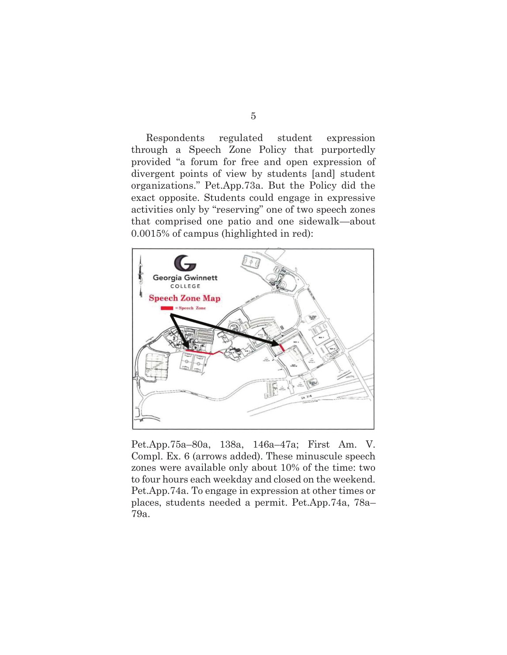Respondents regulated student expression through a Speech Zone Policy that purportedly provided "a forum for free and open expression of divergent points of view by students [and] student organizations." Pet.App.73a. But the Policy did the exact opposite. Students could engage in expressive activities only by "reserving" one of two speech zones that comprised one patio and one sidewalk—about 0.0015% of campus (highlighted in red):



Pet.App.75a–80a, 138a, 146a–47a; First Am. V. Compl. Ex. 6 (arrows added). These minuscule speech zones were available only about 10% of the time: two to four hours each weekday and closed on the weekend. Pet.App.74a. To engage in expression at other times or places, students needed a permit. Pet.App.74a, 78a– 79a.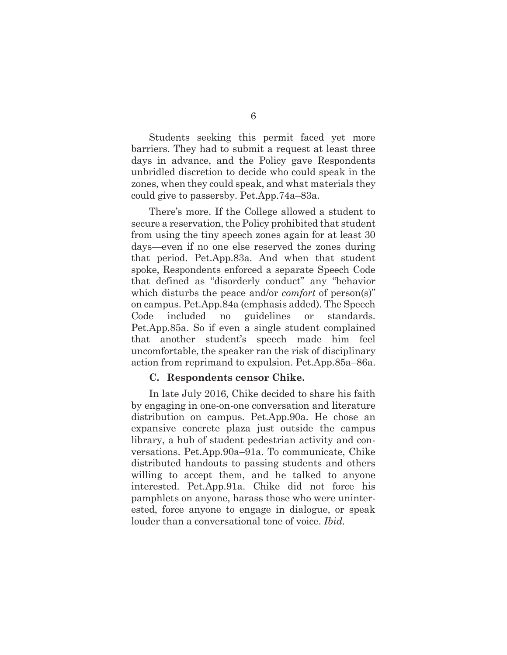Students seeking this permit faced yet more barriers. They had to submit a request at least three days in advance, and the Policy gave Respondents unbridled discretion to decide who could speak in the zones, when they could speak, and what materials they could give to passersby. Pet.App.74a–83a.

There's more. If the College allowed a student to secure a reservation, the Policy prohibited that student from using the tiny speech zones again for at least 30 days—even if no one else reserved the zones during that period. Pet.App.83a. And when that student spoke, Respondents enforced a separate Speech Code that defined as "disorderly conduct" any "behavior which disturbs the peace and/or *comfort* of person(s)" on campus. Pet.App.84a (emphasis added). The Speech Code included no guidelines or standards. Pet.App.85a. So if even a single student complained that another student's speech made him feel uncomfortable, the speaker ran the risk of disciplinary action from reprimand to expulsion. Pet.App.85a–86a.

#### **C. Respondents censor Chike.**

In late July 2016, Chike decided to share his faith by engaging in one-on-one conversation and literature distribution on campus. Pet.App.90a. He chose an expansive concrete plaza just outside the campus library, a hub of student pedestrian activity and conversations. Pet.App.90a–91a. To communicate, Chike distributed handouts to passing students and others willing to accept them, and he talked to anyone interested. Pet.App.91a. Chike did not force his pamphlets on anyone, harass those who were uninterested, force anyone to engage in dialogue, or speak louder than a conversational tone of voice. *Ibid.*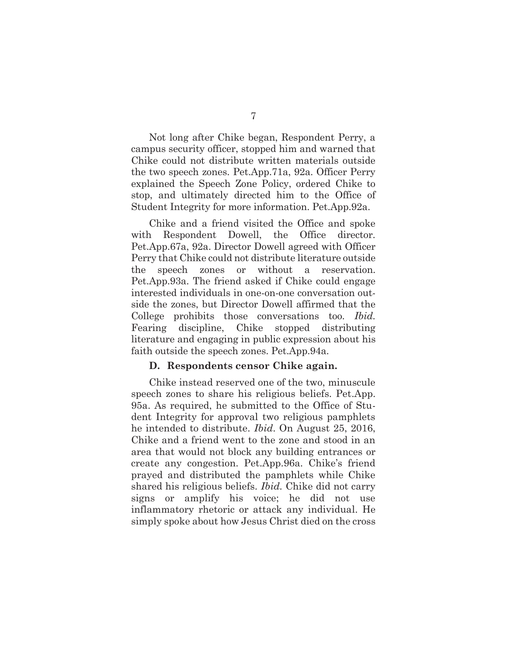Not long after Chike began, Respondent Perry, a campus security officer, stopped him and warned that Chike could not distribute written materials outside the two speech zones. Pet.App.71a, 92a. Officer Perry explained the Speech Zone Policy, ordered Chike to stop, and ultimately directed him to the Office of Student Integrity for more information. Pet.App.92a.

Chike and a friend visited the Office and spoke with Respondent Dowell, the Office director. Pet.App.67a, 92a. Director Dowell agreed with Officer Perry that Chike could not distribute literature outside the speech zones or without a reservation. Pet.App.93a. The friend asked if Chike could engage interested individuals in one-on-one conversation outside the zones, but Director Dowell affirmed that the College prohibits those conversations too. *Ibid.* Fearing discipline, Chike stopped distributing literature and engaging in public expression about his faith outside the speech zones. Pet.App.94a.

#### **D. Respondents censor Chike again.**

Chike instead reserved one of the two, minuscule speech zones to share his religious beliefs. Pet.App. 95a. As required, he submitted to the Office of Student Integrity for approval two religious pamphlets he intended to distribute. *Ibid*. On August 25, 2016, Chike and a friend went to the zone and stood in an area that would not block any building entrances or create any congestion. Pet.App.96a. Chike's friend prayed and distributed the pamphlets while Chike shared his religious beliefs. *Ibid.* Chike did not carry signs or amplify his voice; he did not use inflammatory rhetoric or attack any individual. He simply spoke about how Jesus Christ died on the cross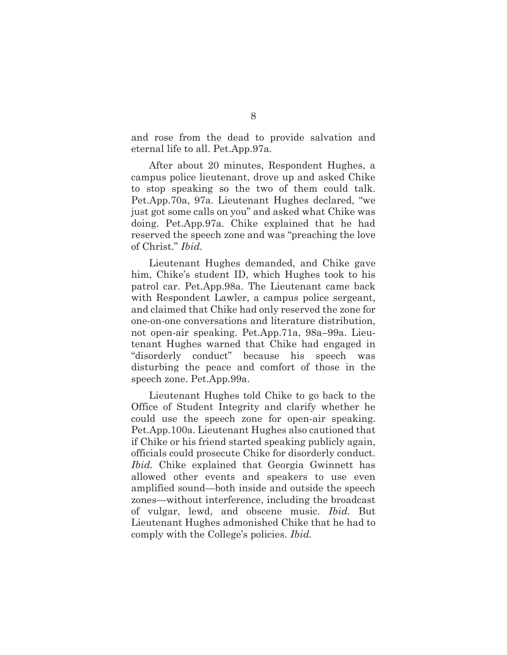and rose from the dead to provide salvation and eternal life to all. Pet.App.97a.

After about 20 minutes, Respondent Hughes, a campus police lieutenant, drove up and asked Chike to stop speaking so the two of them could talk. Pet.App.70a, 97a. Lieutenant Hughes declared, "we just got some calls on you" and asked what Chike was doing. Pet.App.97a. Chike explained that he had reserved the speech zone and was "preaching the love of Christ." *Ibid.*

Lieutenant Hughes demanded, and Chike gave him, Chike's student ID, which Hughes took to his patrol car. Pet.App.98a. The Lieutenant came back with Respondent Lawler, a campus police sergeant, and claimed that Chike had only reserved the zone for one-on-one conversations and literature distribution, not open-air speaking. Pet.App.71a, 98a–99a. Lieutenant Hughes warned that Chike had engaged in "disorderly conduct" because his speech was disturbing the peace and comfort of those in the speech zone. Pet.App.99a.

Lieutenant Hughes told Chike to go back to the Office of Student Integrity and clarify whether he could use the speech zone for open-air speaking. Pet.App.100a. Lieutenant Hughes also cautioned that if Chike or his friend started speaking publicly again, officials could prosecute Chike for disorderly conduct. *Ibid.* Chike explained that Georgia Gwinnett has allowed other events and speakers to use even amplified sound—both inside and outside the speech zones—without interference, including the broadcast of vulgar, lewd, and obscene music. *Ibid.* But Lieutenant Hughes admonished Chike that he had to comply with the College's policies. *Ibid.*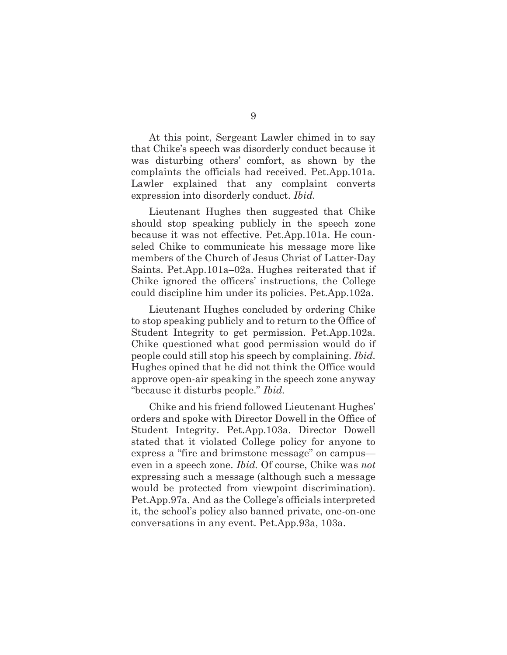At this point, Sergeant Lawler chimed in to say that Chike's speech was disorderly conduct because it was disturbing others' comfort, as shown by the complaints the officials had received. Pet.App.101a. Lawler explained that any complaint converts expression into disorderly conduct. *Ibid.*

Lieutenant Hughes then suggested that Chike should stop speaking publicly in the speech zone because it was not effective. Pet.App.101a. He counseled Chike to communicate his message more like members of the Church of Jesus Christ of Latter-Day Saints. Pet.App.101a–02a. Hughes reiterated that if Chike ignored the officers' instructions, the College could discipline him under its policies. Pet.App.102a.

Lieutenant Hughes concluded by ordering Chike to stop speaking publicly and to return to the Office of Student Integrity to get permission. Pet.App.102a. Chike questioned what good permission would do if people could still stop his speech by complaining. *Ibid.* Hughes opined that he did not think the Office would approve open-air speaking in the speech zone anyway "because it disturbs people." *Ibid.*

Chike and his friend followed Lieutenant Hughes' orders and spoke with Director Dowell in the Office of Student Integrity. Pet.App.103a. Director Dowell stated that it violated College policy for anyone to express a "fire and brimstone message" on campus even in a speech zone. *Ibid.* Of course, Chike was *not* expressing such a message (although such a message would be protected from viewpoint discrimination). Pet.App.97a. And as the College's officials interpreted it, the school's policy also banned private, one-on-one conversations in any event. Pet.App.93a, 103a.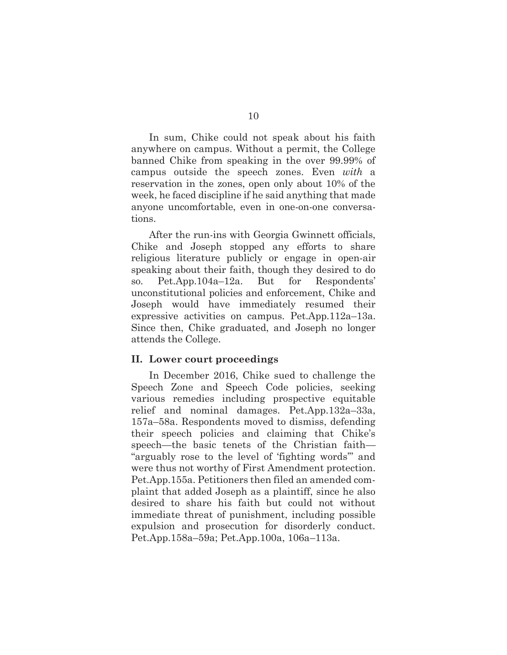In sum, Chike could not speak about his faith anywhere on campus. Without a permit, the College banned Chike from speaking in the over 99.99% of campus outside the speech zones. Even *with* a reservation in the zones, open only about 10% of the week, he faced discipline if he said anything that made anyone uncomfortable, even in one-on-one conversations.

After the run-ins with Georgia Gwinnett officials, Chike and Joseph stopped any efforts to share religious literature publicly or engage in open-air speaking about their faith, though they desired to do so. Pet.App.104a–12a. But for Respondents' unconstitutional policies and enforcement, Chike and Joseph would have immediately resumed their expressive activities on campus. Pet.App.112a–13a. Since then, Chike graduated, and Joseph no longer attends the College.

#### **II. Lower court proceedings**

In December 2016, Chike sued to challenge the Speech Zone and Speech Code policies, seeking various remedies including prospective equitable relief and nominal damages. Pet.App.132a–33a, 157a–58a. Respondents moved to dismiss, defending their speech policies and claiming that Chike's speech—the basic tenets of the Christian faith— "arguably rose to the level of 'fighting words'" and were thus not worthy of First Amendment protection. Pet.App.155a. Petitioners then filed an amended complaint that added Joseph as a plaintiff, since he also desired to share his faith but could not without immediate threat of punishment, including possible expulsion and prosecution for disorderly conduct. Pet.App.158a–59a; Pet.App.100a, 106a–113a.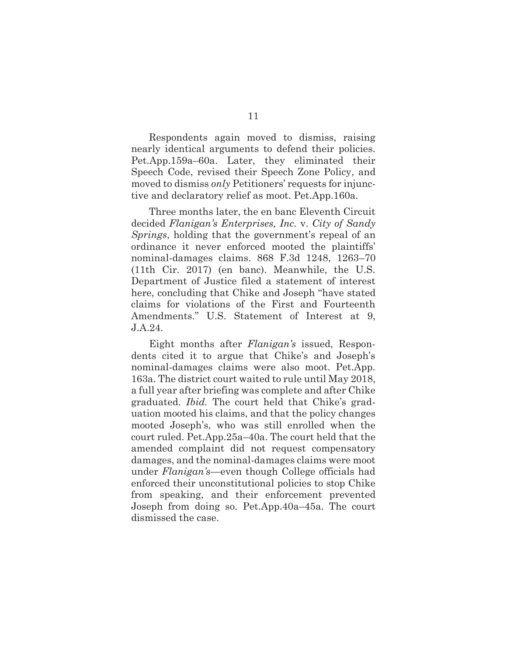Respondents again moved to dismiss, raising nearly identical arguments to defend their policies. Pet.App.159a–60a. Later, they eliminated their Speech Code, revised their Speech Zone Policy, and moved to dismiss *only* Petitioners' requests for injunctive and declaratory relief as moot. Pet.App.160a.

Three months later, the en banc Eleventh Circuit decided *Flanigan's Enterprises, Inc.* v. *City of Sandy Springs*, holding that the government's repeal of an ordinance it never enforced mooted the plaintiffs' nominal-damages claims. 868 F.3d 1248, 1263–70 (11th Cir. 2017) (en banc). Meanwhile, the U.S. Department of Justice filed a statement of interest here, concluding that Chike and Joseph "have stated claims for violations of the First and Fourteenth Amendments." U.S. Statement of Interest at 9, J.A.24.

Eight months after *Flanigan's* issued, Respondents cited it to argue that Chike's and Joseph's nominal-damages claims were also moot. Pet.App. 163a. The district court waited to rule until May 2018, a full year after briefing was complete and after Chike graduated. *Ibid.* The court held that Chike's graduation mooted his claims, and that the policy changes mooted Joseph's, who was still enrolled when the court ruled. Pet.App.25a–40a. The court held that the amended complaint did not request compensatory damages, and the nominal-damages claims were moot under *Flanigan's*—even though College officials had enforced their unconstitutional policies to stop Chike from speaking, and their enforcement prevented Joseph from doing so. Pet.App.40a–45a. The court dismissed the case.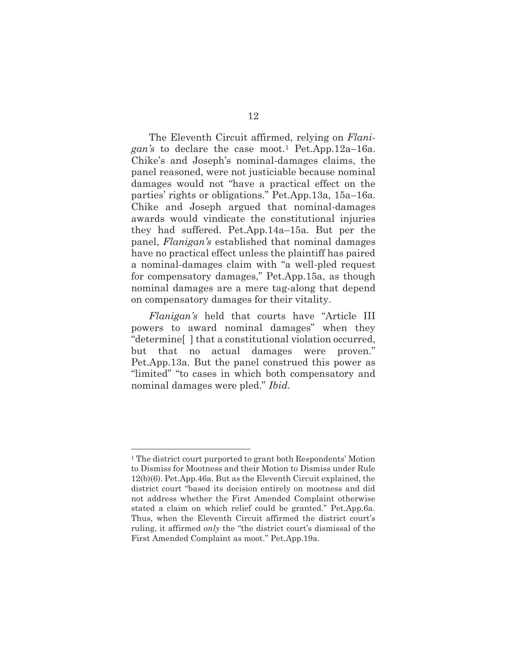The Eleventh Circuit affirmed, relying on *Flanigan's* to declare the case moot.1 Pet.App.12a–16a. Chike's and Joseph's nominal-damages claims, the panel reasoned, were not justiciable because nominal damages would not "have a practical effect on the parties' rights or obligations." Pet.App.13a, 15a–16a. Chike and Joseph argued that nominal-damages awards would vindicate the constitutional injuries they had suffered. Pet.App.14a–15a. But per the panel, *Flanigan's* established that nominal damages have no practical effect unless the plaintiff has paired a nominal-damages claim with "a well-pled request for compensatory damages," Pet.App.15a, as though nominal damages are a mere tag-along that depend on compensatory damages for their vitality.

*Flanigan's* held that courts have "Article III powers to award nominal damages" when they "determine[ ] that a constitutional violation occurred, but that no actual damages were proven." Pet.App.13a. But the panel construed this power as "limited" "to cases in which both compensatory and nominal damages were pled." *Ibid.*

<sup>1</sup> The district court purported to grant both Respondents' Motion to Dismiss for Mootness and their Motion to Dismiss under Rule 12(b)(6). Pet.App.46a. But as the Eleventh Circuit explained, the district court "based its decision entirely on mootness and did not address whether the First Amended Complaint otherwise stated a claim on which relief could be granted." Pet.App.6a. Thus, when the Eleventh Circuit affirmed the district court's ruling, it affirmed *only* the "the district court's dismissal of the First Amended Complaint as moot." Pet.App.19a.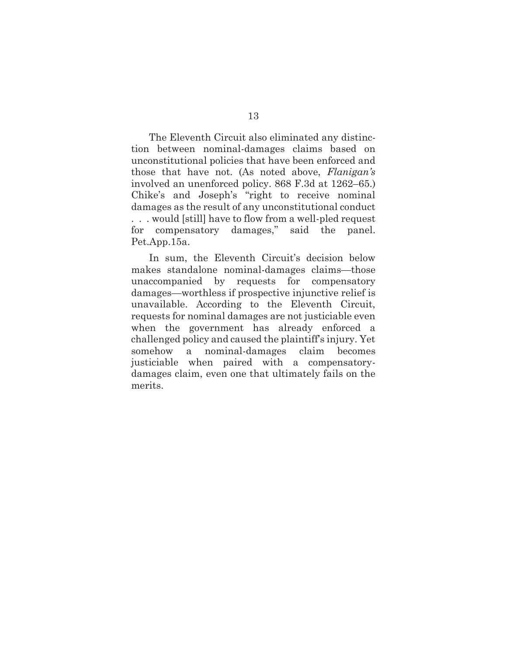The Eleventh Circuit also eliminated any distinction between nominal-damages claims based on unconstitutional policies that have been enforced and those that have not. (As noted above, *Flanigan's*  involved an unenforced policy. 868 F.3d at 1262–65.) Chike's and Joseph's "right to receive nominal damages as the result of any unconstitutional conduct . . . would [still] have to flow from a well-pled request for compensatory damages," said the panel. Pet.App.15a.

In sum, the Eleventh Circuit's decision below makes standalone nominal-damages claims—those unaccompanied by requests for compensatory damages—worthless if prospective injunctive relief is unavailable. According to the Eleventh Circuit, requests for nominal damages are not justiciable even when the government has already enforced a challenged policy and caused the plaintiff's injury. Yet somehow a nominal-damages claim becomes justiciable when paired with a compensatorydamages claim, even one that ultimately fails on the merits.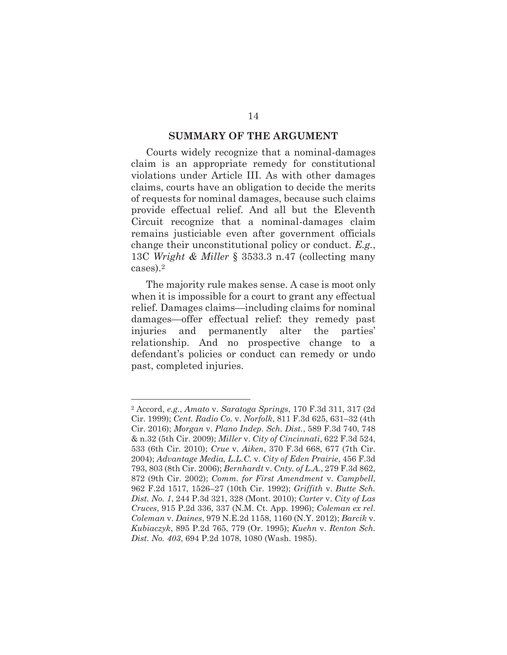#### **SUMMARY OF THE ARGUMENT**

Courts widely recognize that a nominal-damages claim is an appropriate remedy for constitutional violations under Article III. As with other damages claims, courts have an obligation to decide the merits of requests for nominal damages, because such claims provide effectual relief. And all but the Eleventh Circuit recognize that a nominal-damages claim remains justiciable even after government officials change their unconstitutional policy or conduct. *E.g.*, 13C *Wright & Miller* § 3533.3 n.47 (collecting many cases).2

The majority rule makes sense. A case is moot only when it is impossible for a court to grant any effectual relief. Damages claims—including claims for nominal damages—offer effectual relief: they remedy past injuries and permanently alter the parties' relationship. And no prospective change to a defendant's policies or conduct can remedy or undo past, completed injuries.

<sup>2</sup> Accord, *e.g.*, *Amato* v. *Saratoga Springs*, 170 F.3d 311, 317 (2d Cir. 1999); *Cent. Radio Co.* v. *Norfolk*, 811 F.3d 625, 631–32 (4th Cir. 2016); *Morgan* v. *Plano Indep. Sch. Dist.*, 589 F.3d 740, 748 & n.32 (5th Cir. 2009); *Miller* v. *City of Cincinnati*, 622 F.3d 524, 533 (6th Cir. 2010); *Crue* v. *Aiken*, 370 F.3d 668, 677 (7th Cir. 2004); *Advantage Media, L.L.C.* v. *City of Eden Prairie*, 456 F.3d 793, 803 (8th Cir. 2006); *Bernhardt* v. *Cnty. of L.A.*, 279 F.3d 862, 872 (9th Cir. 2002); *Comm. for First Amendment* v. *Campbell*, 962 F.2d 1517, 1526–27 (10th Cir. 1992); *Griffith* v. *Butte Sch. Dist. No. 1*, 244 P.3d 321, 328 (Mont. 2010); *Carter* v. *City of Las Cruces*, 915 P.2d 336, 337 (N.M. Ct. App. 1996); *Coleman ex rel. Coleman* v. *Daines*, 979 N.E.2d 1158, 1160 (N.Y. 2012); *Barcik* v. *Kubiaczyk*, 895 P.2d 765, 779 (Or. 1995); *Kuehn* v. *Renton Sch. Dist. No. 403*, 694 P.2d 1078, 1080 (Wash. 1985).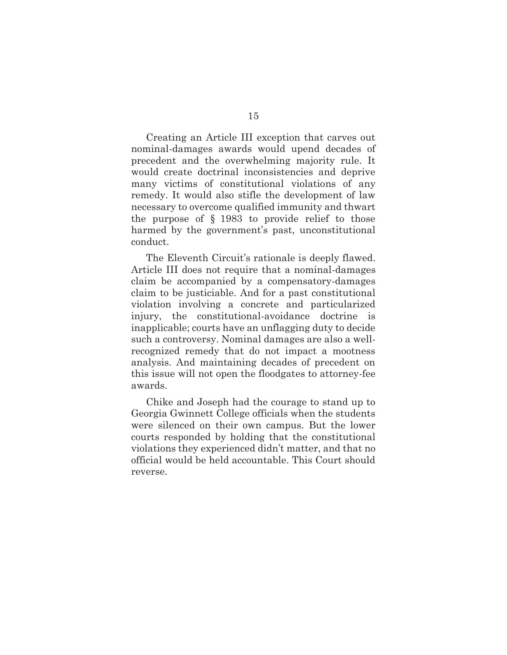Creating an Article III exception that carves out nominal-damages awards would upend decades of precedent and the overwhelming majority rule. It would create doctrinal inconsistencies and deprive many victims of constitutional violations of any remedy. It would also stifle the development of law necessary to overcome qualified immunity and thwart the purpose of § 1983 to provide relief to those harmed by the government's past, unconstitutional conduct.

The Eleventh Circuit's rationale is deeply flawed. Article III does not require that a nominal-damages claim be accompanied by a compensatory-damages claim to be justiciable. And for a past constitutional violation involving a concrete and particularized injury, the constitutional-avoidance doctrine is inapplicable; courts have an unflagging duty to decide such a controversy. Nominal damages are also a wellrecognized remedy that do not impact a mootness analysis. And maintaining decades of precedent on this issue will not open the floodgates to attorney-fee awards.

Chike and Joseph had the courage to stand up to Georgia Gwinnett College officials when the students were silenced on their own campus. But the lower courts responded by holding that the constitutional violations they experienced didn't matter, and that no official would be held accountable. This Court should reverse.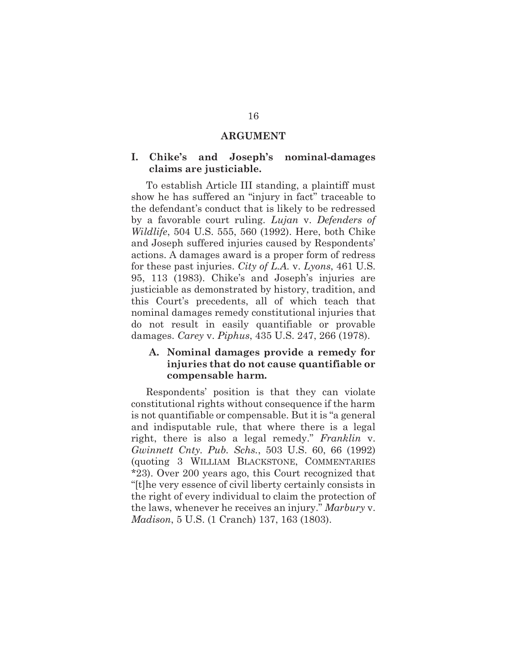#### **ARGUMENT**

#### **I. Chike's and Joseph's nominal-damages claims are justiciable.**

To establish Article III standing, a plaintiff must show he has suffered an "injury in fact" traceable to the defendant's conduct that is likely to be redressed by a favorable court ruling. *Lujan* v. *Defenders of Wildlife*, 504 U.S. 555, 560 (1992). Here, both Chike and Joseph suffered injuries caused by Respondents' actions. A damages award is a proper form of redress for these past injuries. *City of L.A.* v. *Lyons*, 461 U.S. 95, 113 (1983). Chike's and Joseph's injuries are justiciable as demonstrated by history, tradition, and this Court's precedents, all of which teach that nominal damages remedy constitutional injuries that do not result in easily quantifiable or provable damages. *Carey* v. *Piphus*, 435 U.S. 247, 266 (1978).

### **A. Nominal damages provide a remedy for injuries that do not cause quantifiable or compensable harm.**

Respondents' position is that they can violate constitutional rights without consequence if the harm is not quantifiable or compensable. But it is "a general and indisputable rule, that where there is a legal right, there is also a legal remedy." *Franklin* v. *Gwinnett Cnty. Pub. Schs.*, 503 U.S. 60, 66 (1992) (quoting 3 WILLIAM BLACKSTONE, COMMENTARIES \*23). Over 200 years ago, this Court recognized that "[t]he very essence of civil liberty certainly consists in the right of every individual to claim the protection of the laws, whenever he receives an injury." *Marbury* v. *Madison*, 5 U.S. (1 Cranch) 137, 163 (1803).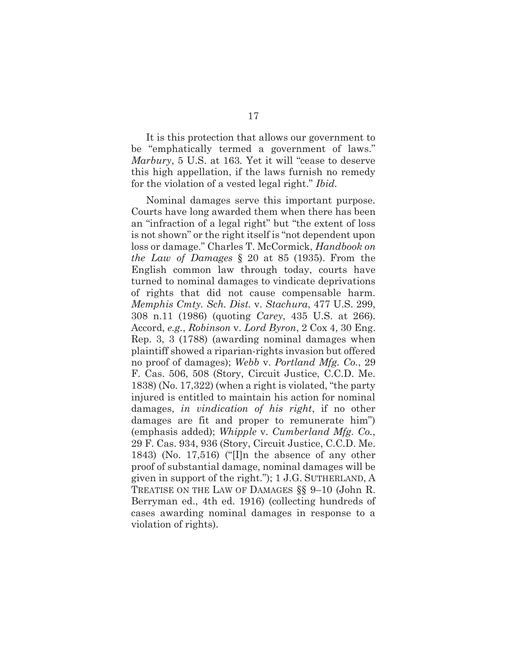It is this protection that allows our government to be "emphatically termed a government of laws." *Marbury*, 5 U.S. at 163*.* Yet it will "cease to deserve this high appellation, if the laws furnish no remedy for the violation of a vested legal right." *Ibid.*

Nominal damages serve this important purpose. Courts have long awarded them when there has been an "infraction of a legal right" but "the extent of loss is not shown" or the right itself is "not dependent upon loss or damage." Charles T. McCormick, *Handbook on the Law of Damages* § 20 at 85 (1935). From the English common law through today, courts have turned to nominal damages to vindicate deprivations of rights that did not cause compensable harm. *Memphis Cmty. Sch. Dist.* v. *Stachura*, 477 U.S. 299, 308 n.11 (1986) (quoting *Carey*, 435 U.S. at 266). Accord, *e.g.*, *Robinson* v. *Lord Byron*, 2 Cox 4, 30 Eng. Rep. 3, 3 (1788) (awarding nominal damages when plaintiff showed a riparian-rights invasion but offered no proof of damages); *Webb* v. *Portland Mfg. Co.*, 29 F. Cas. 506, 508 (Story, Circuit Justice, C.C.D. Me. 1838) (No. 17,322) (when a right is violated, "the party injured is entitled to maintain his action for nominal damages, *in vindication of his right*, if no other damages are fit and proper to remunerate him") (emphasis added); *Whipple* v. *Cumberland Mfg. Co.*, 29 F. Cas. 934, 936 (Story, Circuit Justice, C.C.D. Me. 1843) (No. 17,516) ("[I]n the absence of any other proof of substantial damage, nominal damages will be given in support of the right."); 1 J.G. SUTHERLAND, A TREATISE ON THE LAW OF DAMAGES §§ 9–10 (John R. Berryman ed., 4th ed. 1916) (collecting hundreds of cases awarding nominal damages in response to a violation of rights).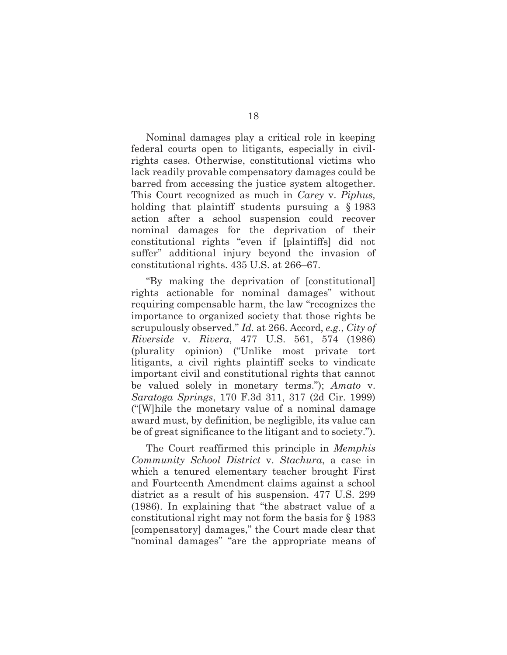Nominal damages play a critical role in keeping federal courts open to litigants, especially in civilrights cases. Otherwise, constitutional victims who lack readily provable compensatory damages could be barred from accessing the justice system altogether. This Court recognized as much in *Carey* v. *Piphus,*  holding that plaintiff students pursuing a § 1983 action after a school suspension could recover nominal damages for the deprivation of their constitutional rights "even if [plaintiffs] did not suffer" additional injury beyond the invasion of constitutional rights. 435 U.S. at 266–67.

"By making the deprivation of [constitutional] rights actionable for nominal damages" without requiring compensable harm, the law "recognizes the importance to organized society that those rights be scrupulously observed." *Id.* at 266. Accord, *e.g.*, *City of Riverside* v. *Rivera*, 477 U.S. 561, 574 (1986) (plurality opinion) ("Unlike most private tort litigants, a civil rights plaintiff seeks to vindicate important civil and constitutional rights that cannot be valued solely in monetary terms."); *Amato* v. *Saratoga Springs*, 170 F.3d 311, 317 (2d Cir. 1999) ("[W]hile the monetary value of a nominal damage award must, by definition, be negligible, its value can be of great significance to the litigant and to society.").

The Court reaffirmed this principle in *Memphis Community School District* v. *Stachura*, a case in which a tenured elementary teacher brought First and Fourteenth Amendment claims against a school district as a result of his suspension. 477 U.S. 299 (1986). In explaining that "the abstract value of a constitutional right may not form the basis for § 1983 [compensatory] damages," the Court made clear that "nominal damages" "are the appropriate means of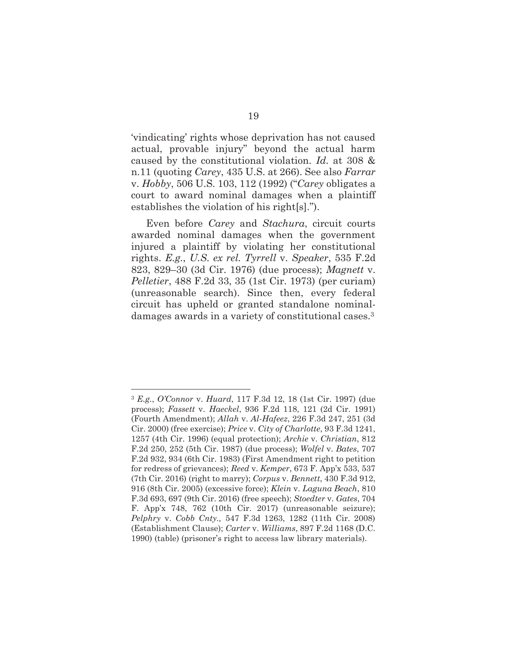'vindicating' rights whose deprivation has not caused actual, provable injury" beyond the actual harm caused by the constitutional violation. *Id.* at 308 & n.11 (quoting *Carey*, 435 U.S. at 266). See also *Farrar*  v. *Hobby*, 506 U.S. 103, 112 (1992) ("*Carey* obligates a court to award nominal damages when a plaintiff establishes the violation of his right[s].").

Even before *Carey* and *Stachura*, circuit courts awarded nominal damages when the government injured a plaintiff by violating her constitutional rights. *E.g.*, *U.S. ex rel. Tyrrell* v. *Speaker*, 535 F.2d 823, 829–30 (3d Cir. 1976) (due process); *Magnett* v. *Pelletier*, 488 F.2d 33, 35 (1st Cir. 1973) (per curiam) (unreasonable search). Since then, every federal circuit has upheld or granted standalone nominaldamages awards in a variety of constitutional cases.3

<sup>3</sup> *E.g.*, *O'Connor* v. *Huard*, 117 F.3d 12, 18 (1st Cir. 1997) (due process); *Fassett* v. *Haeckel*, 936 F.2d 118, 121 (2d Cir. 1991) (Fourth Amendment); *Allah* v. *Al-Hafeez*, 226 F.3d 247, 251 (3d Cir. 2000) (free exercise); *Price* v. *City of Charlotte*, 93 F.3d 1241, 1257 (4th Cir. 1996) (equal protection); *Archie* v. *Christian*, 812 F.2d 250, 252 (5th Cir. 1987) (due process); *Wolfel* v. *Bates*, 707 F.2d 932, 934 (6th Cir. 1983) (First Amendment right to petition for redress of grievances); *Reed* v. *Kemper*, 673 F. App'x 533, 537 (7th Cir. 2016) (right to marry); *Corpus* v. *Bennett*, 430 F.3d 912, 916 (8th Cir. 2005) (excessive force); *Klein* v. *Laguna Beach*, 810 F.3d 693, 697 (9th Cir. 2016) (free speech); *Stoedter* v. *Gates*, 704 F. App'x 748, 762 (10th Cir. 2017) (unreasonable seizure); *Pelphry* v. *Cobb Cnty.,* 547 F.3d 1263, 1282 (11th Cir. 2008) (Establishment Clause); *Carter* v. *Williams*, 897 F.2d 1168 (D.C. 1990) (table) (prisoner's right to access law library materials).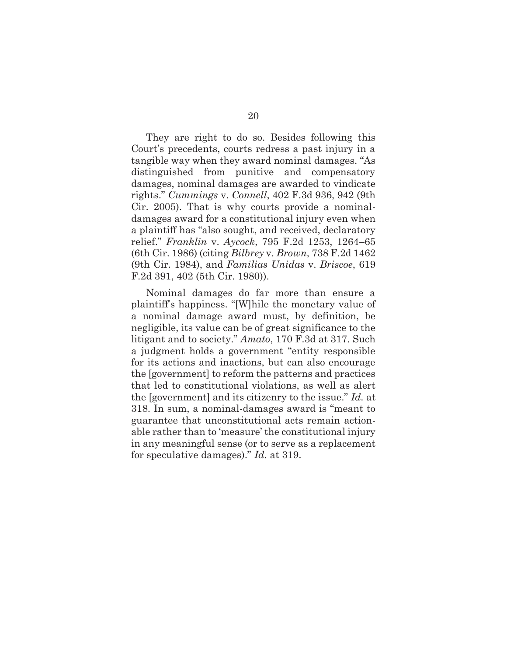They are right to do so. Besides following this Court's precedents, courts redress a past injury in a tangible way when they award nominal damages. "As distinguished from punitive and compensatory damages, nominal damages are awarded to vindicate rights." *Cummings* v. *Connell*, 402 F.3d 936, 942 (9th Cir. 2005). That is why courts provide a nominaldamages award for a constitutional injury even when a plaintiff has "also sought, and received, declaratory relief." *Franklin* v. *Aycock*, 795 F.2d 1253, 1264–65 (6th Cir. 1986) (citing *Bilbrey* v. *Brown*, 738 F.2d 1462 (9th Cir. 1984), and *Familias Unidas* v. *Briscoe*, 619 F.2d 391, 402 (5th Cir. 1980)).

Nominal damages do far more than ensure a plaintiff's happiness. "[W]hile the monetary value of a nominal damage award must, by definition, be negligible, its value can be of great significance to the litigant and to society." *Amato*, 170 F.3d at 317. Such a judgment holds a government "entity responsible for its actions and inactions, but can also encourage the [government] to reform the patterns and practices that led to constitutional violations, as well as alert the [government] and its citizenry to the issue." *Id.* at 318. In sum, a nominal-damages award is "meant to guarantee that unconstitutional acts remain actionable rather than to 'measure' the constitutional injury in any meaningful sense (or to serve as a replacement for speculative damages)." *Id.* at 319.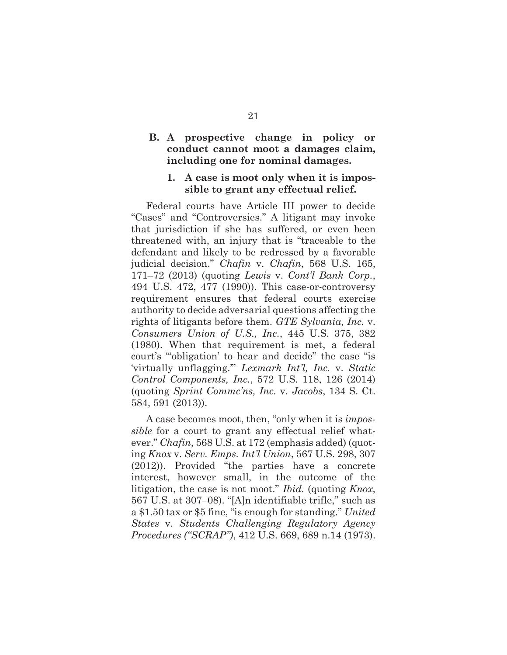# **B. A prospective change in policy or conduct cannot moot a damages claim, including one for nominal damages.**

#### **1. A case is moot only when it is impossible to grant any effectual relief.**

Federal courts have Article III power to decide "Cases" and "Controversies." A litigant may invoke that jurisdiction if she has suffered, or even been threatened with, an injury that is "traceable to the defendant and likely to be redressed by a favorable judicial decision." *Chafin* v. *Chafin*, 568 U.S. 165, 171–72 (2013) (quoting *Lewis* v. *Cont'l Bank Corp.*, 494 U.S. 472, 477 (1990)). This case-or-controversy requirement ensures that federal courts exercise authority to decide adversarial questions affecting the rights of litigants before them. *GTE Sylvania, Inc.* v. *Consumers Union of U.S., Inc.*, 445 U.S. 375, 382 (1980). When that requirement is met, a federal court's "'obligation' to hear and decide" the case "is 'virtually unflagging.'" *Lexmark Int'l, Inc.* v. *Static Control Components, Inc.*, 572 U.S. 118, 126 (2014) (quoting *Sprint Commc'ns, Inc.* v. *Jacobs*, 134 S. Ct. 584, 591 (2013)).

A case becomes moot, then, "only when it is *impossible* for a court to grant any effectual relief whatever." *Chafin*, 568 U.S. at 172 (emphasis added) (quoting *Knox* v. *Serv. Emps. Int'l Union*, 567 U.S. 298, 307 (2012)). Provided "the parties have a concrete interest, however small, in the outcome of the litigation, the case is not moot." *Ibid.* (quoting *Knox*, 567 U.S. at 307–08). "[A]n identifiable trifle," such as a \$1.50 tax or \$5 fine, "is enough for standing." *United States* v. *Students Challenging Regulatory Agency Procedures ("SCRAP")*, 412 U.S. 669, 689 n.14 (1973).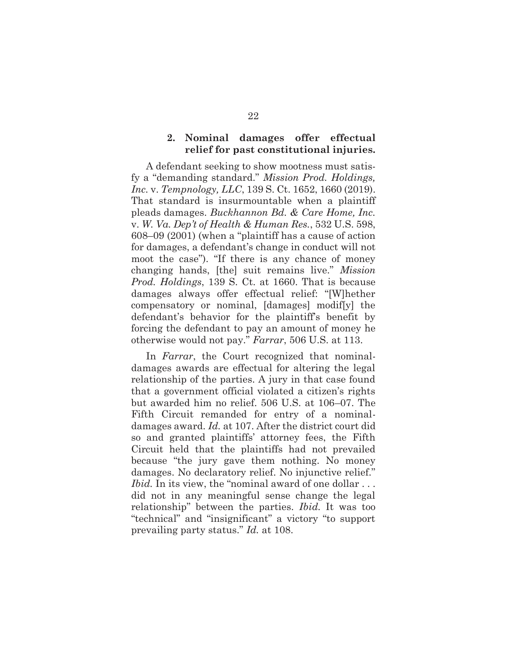#### **2. Nominal damages offer effectual relief for past constitutional injuries.**

A defendant seeking to show mootness must satisfy a "demanding standard." *Mission Prod. Holdings, Inc.* v. *Tempnology, LLC*, 139 S. Ct. 1652, 1660 (2019). That standard is insurmountable when a plaintiff pleads damages. *Buckhannon Bd. & Care Home, Inc.*  v. *W. Va. Dep't of Health & Human Res.*, 532 U.S. 598, 608–09 (2001) (when a "plaintiff has a cause of action for damages, a defendant's change in conduct will not moot the case"). "If there is any chance of money changing hands, [the] suit remains live." *Mission Prod. Holdings*, 139 S. Ct. at 1660. That is because damages always offer effectual relief: "[W]hether compensatory or nominal, [damages] modif[y] the defendant's behavior for the plaintiff's benefit by forcing the defendant to pay an amount of money he otherwise would not pay." *Farrar*, 506 U.S. at 113.

In *Farrar*, the Court recognized that nominaldamages awards are effectual for altering the legal relationship of the parties. A jury in that case found that a government official violated a citizen's rights but awarded him no relief. 506 U.S. at 106–07. The Fifth Circuit remanded for entry of a nominaldamages award. *Id.* at 107. After the district court did so and granted plaintiffs' attorney fees, the Fifth Circuit held that the plaintiffs had not prevailed because "the jury gave them nothing. No money damages. No declaratory relief. No injunctive relief." *Ibid.* In its view, the "nominal award of one dollar . . . did not in any meaningful sense change the legal relationship" between the parties. *Ibid.* It was too "technical" and "insignificant" a victory "to support prevailing party status." *Id.* at 108.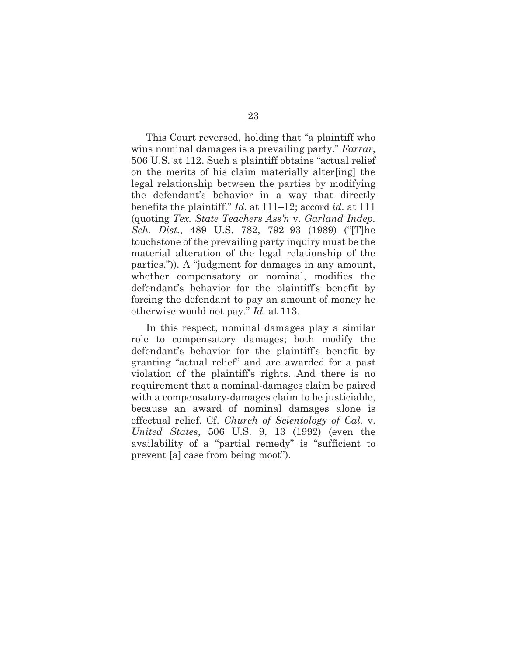This Court reversed, holding that "a plaintiff who wins nominal damages is a prevailing party." *Farrar*, 506 U.S. at 112. Such a plaintiff obtains "actual relief on the merits of his claim materially alter[ing] the legal relationship between the parties by modifying the defendant's behavior in a way that directly benefits the plaintiff." *Id.* at 111–12; accord *id*. at 111 (quoting *Tex. State Teachers Ass'n* v. *Garland Indep. Sch. Dist.*, 489 U.S. 782, 792–93 (1989) ("[T]he touchstone of the prevailing party inquiry must be the material alteration of the legal relationship of the parties.")). A "judgment for damages in any amount, whether compensatory or nominal, modifies the defendant's behavior for the plaintiff's benefit by forcing the defendant to pay an amount of money he otherwise would not pay." *Id.* at 113.

In this respect, nominal damages play a similar role to compensatory damages; both modify the defendant's behavior for the plaintiff's benefit by granting "actual relief" and are awarded for a past violation of the plaintiff's rights. And there is no requirement that a nominal-damages claim be paired with a compensatory-damages claim to be justiciable, because an award of nominal damages alone is effectual relief. Cf. *Church of Scientology of Cal.* v. *United States*, 506 U.S. 9, 13 (1992) (even the availability of a "partial remedy" is "sufficient to prevent [a] case from being moot").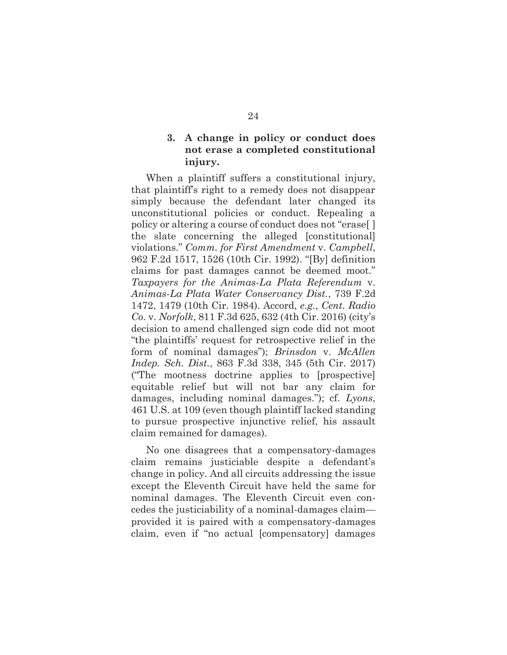# **3. A change in policy or conduct does not erase a completed constitutional injury.**

When a plaintiff suffers a constitutional injury, that plaintiff's right to a remedy does not disappear simply because the defendant later changed its unconstitutional policies or conduct. Repealing a policy or altering a course of conduct does not "erase[ ] the slate concerning the alleged [constitutional] violations." *Comm. for First Amendment* v. *Campbell*, 962 F.2d 1517, 1526 (10th Cir. 1992). "[By] definition claims for past damages cannot be deemed moot." *Taxpayers for the Animas-La Plata Referendum* v. *Animas-La Plata Water Conservancy Dist.*, 739 F.2d 1472, 1479 (10th Cir. 1984). Accord, *e.g.*, *Cent. Radio Co.* v. *Norfolk*, 811 F.3d 625, 632 (4th Cir. 2016) (city's decision to amend challenged sign code did not moot "the plaintiffs' request for retrospective relief in the form of nominal damages"); *Brinsdon* v. *McAllen Indep. Sch. Dist.*, 863 F.3d 338, 345 (5th Cir. 2017) ("The mootness doctrine applies to [prospective] equitable relief but will not bar any claim for damages, including nominal damages."); cf. *Lyons*, 461 U.S. at 109 (even though plaintiff lacked standing to pursue prospective injunctive relief, his assault claim remained for damages).

No one disagrees that a compensatory-damages claim remains justiciable despite a defendant's change in policy. And all circuits addressing the issue except the Eleventh Circuit have held the same for nominal damages. The Eleventh Circuit even concedes the justiciability of a nominal-damages claim provided it is paired with a compensatory-damages claim, even if "no actual [compensatory] damages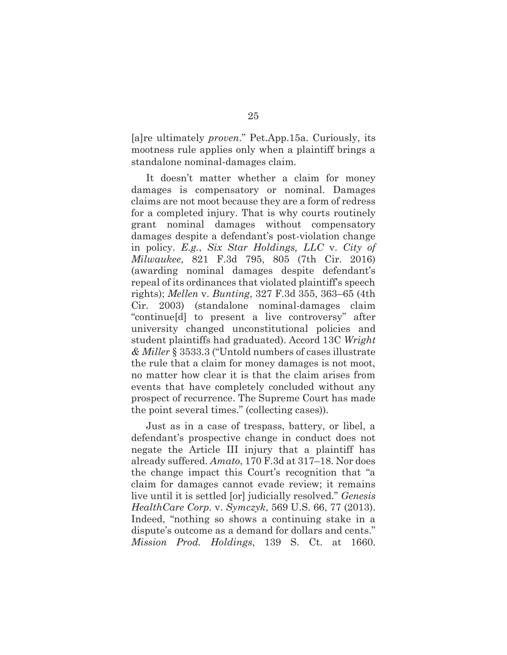[a]re ultimately *proven*." Pet.App.15a. Curiously, its mootness rule applies only when a plaintiff brings a standalone nominal-damages claim.

It doesn't matter whether a claim for money damages is compensatory or nominal. Damages claims are not moot because they are a form of redress for a completed injury. That is why courts routinely grant nominal damages without compensatory damages despite a defendant's post-violation change in policy. *E.g.*, *Six Star Holdings, LLC* v. *City of Milwaukee*, 821 F.3d 795, 805 (7th Cir. 2016) (awarding nominal damages despite defendant's repeal of its ordinances that violated plaintiff's speech rights); *Mellen* v. *Bunting*, 327 F.3d 355, 363–65 (4th Cir. 2003) (standalone nominal-damages claim "continue[d] to present a live controversy" after university changed unconstitutional policies and student plaintiffs had graduated). Accord 13C *Wright & Miller* § 3533.3 ("Untold numbers of cases illustrate the rule that a claim for money damages is not moot, no matter how clear it is that the claim arises from events that have completely concluded without any prospect of recurrence. The Supreme Court has made the point several times." (collecting cases)).

Just as in a case of trespass, battery, or libel, a defendant's prospective change in conduct does not negate the Article III injury that a plaintiff has already suffered. *Amato*, 170 F.3d at 317–18. Nor does the change impact this Court's recognition that "a claim for damages cannot evade review; it remains live until it is settled [or] judicially resolved." *Genesis HealthCare Corp.* v. *Symczyk*, 569 U.S. 66, 77 (2013). Indeed, "nothing so shows a continuing stake in a dispute's outcome as a demand for dollars and cents." *Mission Prod. Holdings*, 139 S. Ct. at 1660.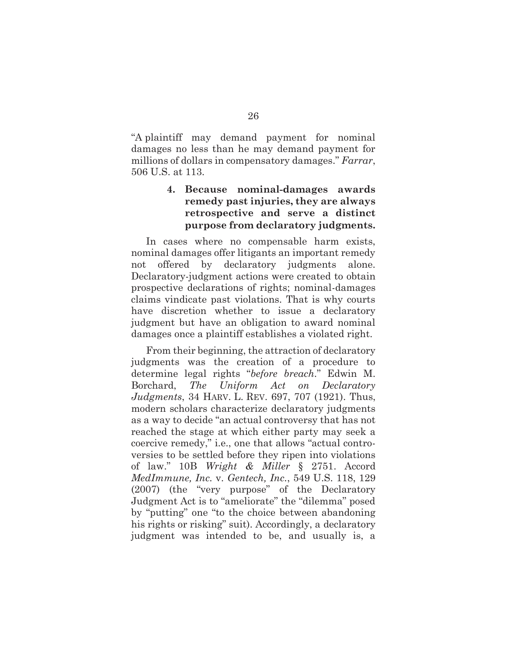"A plaintiff may demand payment for nominal damages no less than he may demand payment for millions of dollars in compensatory damages." *Farrar*, 506 U.S. at 113.

# **4. Because nominal-damages awards remedy past injuries, they are always retrospective and serve a distinct purpose from declaratory judgments.**

In cases where no compensable harm exists, nominal damages offer litigants an important remedy not offered by declaratory judgments alone. Declaratory-judgment actions were created to obtain prospective declarations of rights; nominal-damages claims vindicate past violations. That is why courts have discretion whether to issue a declaratory judgment but have an obligation to award nominal damages once a plaintiff establishes a violated right.

From their beginning, the attraction of declaratory judgments was the creation of a procedure to determine legal rights "*before breach*." Edwin M. Borchard, *The Uniform Act on Declaratory Judgments*, 34 HARV. L. REV. 697, 707 (1921). Thus, modern scholars characterize declaratory judgments as a way to decide "an actual controversy that has not reached the stage at which either party may seek a coercive remedy," i.e., one that allows "actual controversies to be settled before they ripen into violations of law." 10B *Wright & Miller* § 2751. Accord *MedImmune, Inc.* v. *Gentech, Inc.*, 549 U.S. 118, 129 (2007) (the "very purpose" of the Declaratory Judgment Act is to "ameliorate" the "dilemma" posed by "putting" one "to the choice between abandoning his rights or risking" suit). Accordingly, a declaratory judgment was intended to be, and usually is, a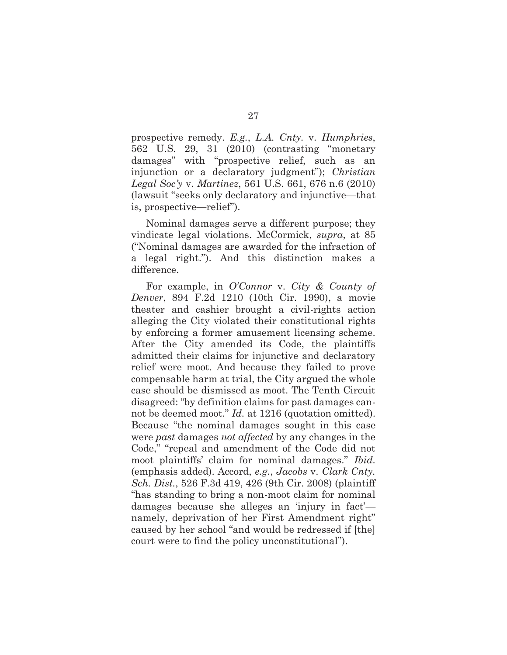prospective remedy. *E.g.*, *L.A. Cnty.* v. *Humphries*, 562 U.S. 29, 31 (2010) (contrasting "monetary damages" with "prospective relief, such as an injunction or a declaratory judgment"); *Christian Legal Soc'y* v. *Martinez*, 561 U.S. 661, 676 n.6 (2010) (lawsuit "seeks only declaratory and injunctive—that is, prospective—relief").

Nominal damages serve a different purpose; they vindicate legal violations. McCormick, *supra*, at 85 ("Nominal damages are awarded for the infraction of a legal right."). And this distinction makes a difference.

For example, in *O'Connor* v. *City & County of Denver*, 894 F.2d 1210 (10th Cir. 1990), a movie theater and cashier brought a civil-rights action alleging the City violated their constitutional rights by enforcing a former amusement licensing scheme. After the City amended its Code, the plaintiffs admitted their claims for injunctive and declaratory relief were moot. And because they failed to prove compensable harm at trial, the City argued the whole case should be dismissed as moot. The Tenth Circuit disagreed: "by definition claims for past damages cannot be deemed moot." *Id.* at 1216 (quotation omitted). Because "the nominal damages sought in this case were *past* damages *not affected* by any changes in the Code," "repeal and amendment of the Code did not moot plaintiffs' claim for nominal damages." *Ibid.* (emphasis added). Accord, *e.g.*, *Jacobs* v. *Clark Cnty. Sch. Dist.*, 526 F.3d 419, 426 (9th Cir. 2008) (plaintiff "has standing to bring a non-moot claim for nominal damages because she alleges an 'injury in fact' namely, deprivation of her First Amendment right" caused by her school "and would be redressed if [the] court were to find the policy unconstitutional").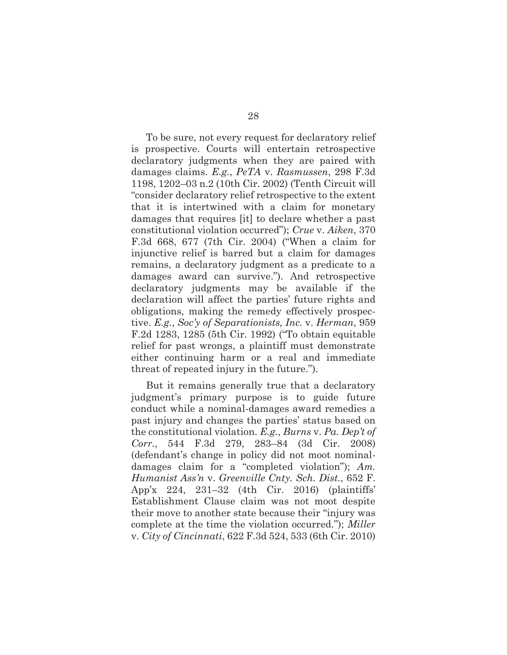To be sure, not every request for declaratory relief is prospective. Courts will entertain retrospective declaratory judgments when they are paired with damages claims. *E.g.*, *PeTA* v. *Rasmussen*, 298 F.3d 1198, 1202–03 n.2 (10th Cir. 2002) (Tenth Circuit will "consider declaratory relief retrospective to the extent that it is intertwined with a claim for monetary damages that requires [it] to declare whether a past constitutional violation occurred"); *Crue* v. *Aiken*, 370 F.3d 668, 677 (7th Cir. 2004) ("When a claim for injunctive relief is barred but a claim for damages remains, a declaratory judgment as a predicate to a damages award can survive."). And retrospective declaratory judgments may be available if the declaration will affect the parties' future rights and obligations, making the remedy effectively prospective. *E.g.*, *Soc'y of Separationists, Inc.* v. *Herman*, 959 F.2d 1283, 1285 (5th Cir. 1992) ("To obtain equitable relief for past wrongs, a plaintiff must demonstrate either continuing harm or a real and immediate threat of repeated injury in the future.").

But it remains generally true that a declaratory judgment's primary purpose is to guide future conduct while a nominal-damages award remedies a past injury and changes the parties' status based on the constitutional violation. *E.g.*, *Burns* v. *Pa. Dep't of Corr.*, 544 F.3d 279, 283–84 (3d Cir. 2008) (defendant's change in policy did not moot nominaldamages claim for a "completed violation"); *Am. Humanist Ass'n* v. *Greenville Cnty. Sch. Dist.*, 652 F. App'x 224, 231–32 (4th Cir. 2016) (plaintiffs' Establishment Clause claim was not moot despite their move to another state because their "injury was complete at the time the violation occurred."); *Miller*  v. *City of Cincinnati*, 622 F.3d 524, 533 (6th Cir. 2010)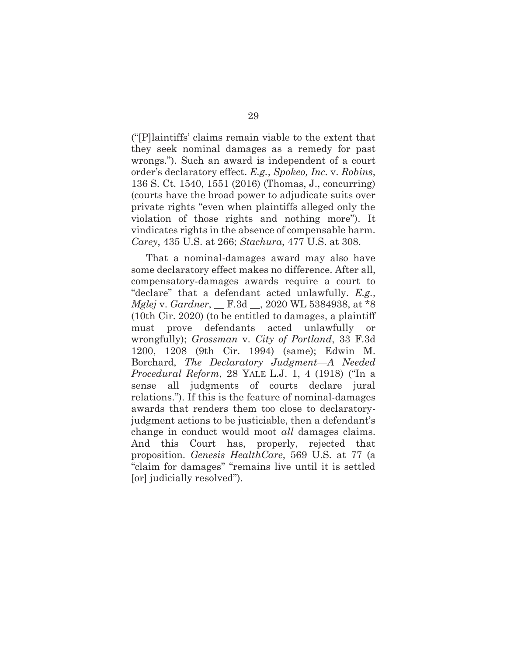("[P]laintiffs' claims remain viable to the extent that they seek nominal damages as a remedy for past wrongs."). Such an award is independent of a court order's declaratory effect. *E.g.*, *Spokeo, Inc.* v. *Robins*, 136 S. Ct. 1540, 1551 (2016) (Thomas, J., concurring) (courts have the broad power to adjudicate suits over private rights "even when plaintiffs alleged only the violation of those rights and nothing more"). It vindicates rights in the absence of compensable harm. *Carey*, 435 U.S. at 266; *Stachura*, 477 U.S. at 308.

That a nominal-damages award may also have some declaratory effect makes no difference. After all, compensatory-damages awards require a court to "declare" that a defendant acted unlawfully. *E.g.*, *Mglej* v. *Gardner*, \_\_ F.3d \_\_, 2020 WL 5384938, at \*8 (10th Cir. 2020) (to be entitled to damages, a plaintiff must prove defendants acted unlawfully or wrongfully); *Grossman* v. *City of Portland*, 33 F.3d 1200, 1208 (9th Cir. 1994) (same); Edwin M. Borchard, *The Declaratory Judgment—A Needed Procedural Reform*, 28 YALE L.J. 1, 4 (1918) ("In a sense all judgments of courts declare jural relations."). If this is the feature of nominal-damages awards that renders them too close to declaratoryjudgment actions to be justiciable, then a defendant's change in conduct would moot *all* damages claims. And this Court has, properly, rejected that proposition. *Genesis HealthCare*, 569 U.S. at 77 (a "claim for damages" "remains live until it is settled [or] judicially resolved").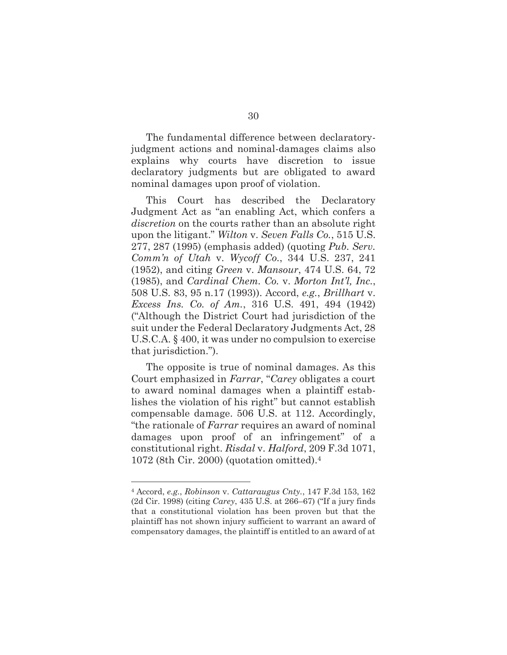The fundamental difference between declaratoryjudgment actions and nominal-damages claims also explains why courts have discretion to issue declaratory judgments but are obligated to award nominal damages upon proof of violation.

This Court has described the Declaratory Judgment Act as "an enabling Act, which confers a *discretion* on the courts rather than an absolute right upon the litigant." *Wilton* v. *Seven Falls Co.*, 515 U.S. 277, 287 (1995) (emphasis added) (quoting *Pub. Serv. Comm'n of Utah* v. *Wycoff Co.*, 344 U.S. 237, 241 (1952), and citing *Green* v. *Mansour*, 474 U.S. 64, 72 (1985), and *Cardinal Chem. Co.* v. *Morton Int'l, Inc.*, 508 U.S. 83, 95 n.17 (1993)). Accord, *e.g.*, *Brillhart* v. *Excess Ins. Co. of Am.*, 316 U.S. 491, 494 (1942) ("Although the District Court had jurisdiction of the suit under the Federal Declaratory Judgments Act, 28 U.S.C.A. § 400, it was under no compulsion to exercise that jurisdiction.").

The opposite is true of nominal damages. As this Court emphasized in *Farrar*, "*Carey* obligates a court to award nominal damages when a plaintiff establishes the violation of his right" but cannot establish compensable damage. 506 U.S. at 112. Accordingly, "the rationale of *Farrar* requires an award of nominal damages upon proof of an infringement" of a constitutional right. *Risdal* v. *Halford*, 209 F.3d 1071, 1072 (8th Cir. 2000) (quotation omitted).4

<sup>4</sup> Accord, *e.g.*, *Robinson* v. *Cattaraugus Cnty.*, 147 F.3d 153, 162 (2d Cir. 1998) (citing *Carey*, 435 U.S. at 266–67) ("If a jury finds that a constitutional violation has been proven but that the plaintiff has not shown injury sufficient to warrant an award of compensatory damages, the plaintiff is entitled to an award of at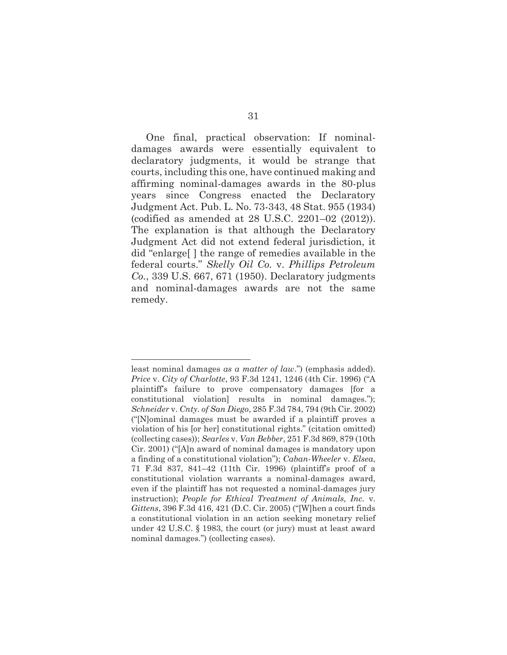One final, practical observation: If nominaldamages awards were essentially equivalent to declaratory judgments, it would be strange that courts, including this one, have continued making and affirming nominal-damages awards in the 80-plus years since Congress enacted the Declaratory Judgment Act. Pub. L. No. 73-343, 48 Stat. 955 (1934) (codified as amended at 28 U.S.C. 2201–02 (2012)). The explanation is that although the Declaratory Judgment Act did not extend federal jurisdiction, it did "enlarge[ ] the range of remedies available in the federal courts." *Skelly Oil Co.* v. *Phillips Petroleum Co.*, 339 U.S. 667, 671 (1950). Declaratory judgments and nominal-damages awards are not the same remedy.

least nominal damages *as a matter of law*.") (emphasis added). *Price* v. *City of Charlotte*, 93 F.3d 1241, 1246 (4th Cir. 1996) ("A plaintiff's failure to prove compensatory damages [for a constitutional violation] results in nominal damages."); *Schneider* v. *Cnty. of San Diego*, 285 F.3d 784, 794 (9th Cir. 2002) ("[N]ominal damages must be awarded if a plaintiff proves a violation of his [or her] constitutional rights." (citation omitted) (collecting cases)); *Searles* v. *Van Bebber*, 251 F.3d 869, 879 (10th Cir. 2001) ("[A]n award of nominal damages is mandatory upon a finding of a constitutional violation"); *Caban-Wheeler* v. *Elsea*, 71 F.3d 837, 841–42 (11th Cir. 1996) (plaintiff's proof of a constitutional violation warrants a nominal-damages award, even if the plaintiff has not requested a nominal-damages jury instruction); *People for Ethical Treatment of Animals, Inc.* v. *Gittens*, 396 F.3d 416, 421 (D.C. Cir. 2005) ("[W]hen a court finds a constitutional violation in an action seeking monetary relief under 42 U.S.C. § 1983, the court (or jury) must at least award nominal damages.") (collecting cases).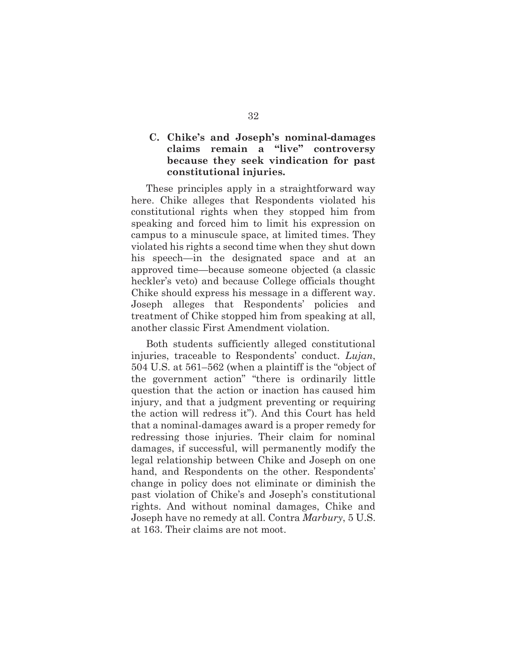# **C. Chike's and Joseph's nominal-damages claims remain a "live" controversy because they seek vindication for past constitutional injuries.**

These principles apply in a straightforward way here. Chike alleges that Respondents violated his constitutional rights when they stopped him from speaking and forced him to limit his expression on campus to a minuscule space, at limited times. They violated his rights a second time when they shut down his speech—in the designated space and at an approved time—because someone objected (a classic heckler's veto) and because College officials thought Chike should express his message in a different way. Joseph alleges that Respondents' policies and treatment of Chike stopped him from speaking at all, another classic First Amendment violation.

Both students sufficiently alleged constitutional injuries, traceable to Respondents' conduct. *Lujan*, 504 U.S. at 561–562 (when a plaintiff is the "object of the government action" "there is ordinarily little question that the action or inaction has caused him injury, and that a judgment preventing or requiring the action will redress it"). And this Court has held that a nominal-damages award is a proper remedy for redressing those injuries. Their claim for nominal damages, if successful, will permanently modify the legal relationship between Chike and Joseph on one hand, and Respondents on the other. Respondents' change in policy does not eliminate or diminish the past violation of Chike's and Joseph's constitutional rights. And without nominal damages, Chike and Joseph have no remedy at all. Contra *Marbury*, 5 U.S. at 163. Their claims are not moot.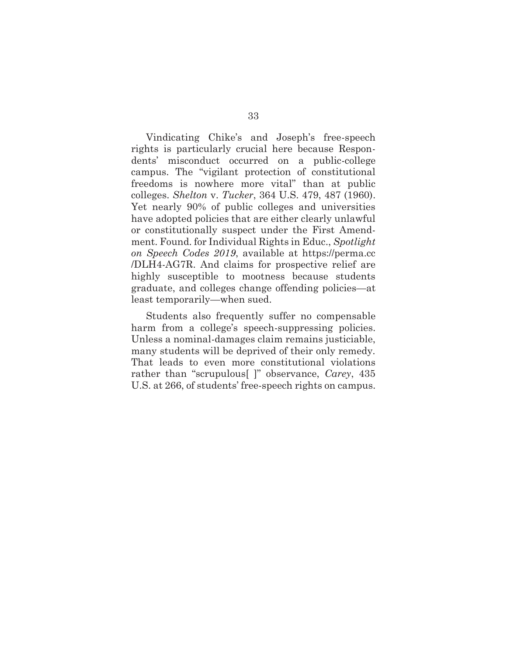Vindicating Chike's and Joseph's free-speech rights is particularly crucial here because Respondents' misconduct occurred on a public-college campus. The "vigilant protection of constitutional freedoms is nowhere more vital" than at public colleges. *Shelton* v. *Tucker*, 364 U.S. 479, 487 (1960). Yet nearly 90% of public colleges and universities have adopted policies that are either clearly unlawful or constitutionally suspect under the First Amendment. Found. for Individual Rights in Educ., *Spotlight on Speech Codes 2019*, available at https://perma.cc /DLH4-AG7R. And claims for prospective relief are highly susceptible to mootness because students graduate, and colleges change offending policies—at least temporarily—when sued.

Students also frequently suffer no compensable harm from a college's speech-suppressing policies. Unless a nominal-damages claim remains justiciable, many students will be deprived of their only remedy. That leads to even more constitutional violations rather than "scrupulous[ ]" observance, *Carey*, 435 U.S. at 266, of students' free-speech rights on campus.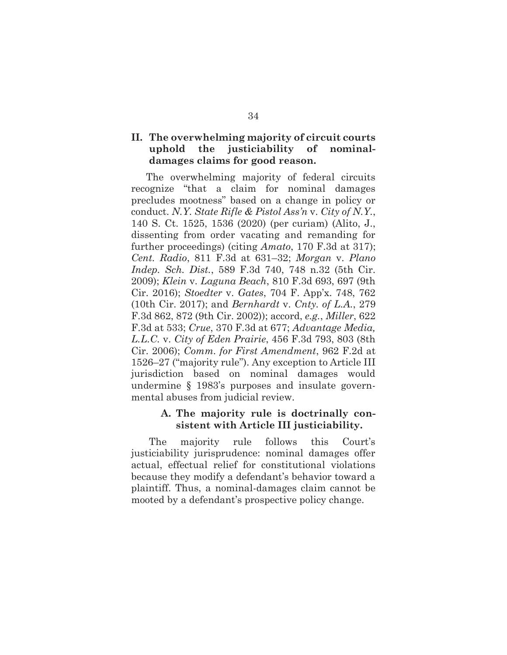## **II. The overwhelming majority of circuit courts uphold the justiciability of nominaldamages claims for good reason.**

The overwhelming majority of federal circuits recognize "that a claim for nominal damages precludes mootness" based on a change in policy or conduct. *N.Y. State Rifle & Pistol Ass'n* v. *City of N.Y.*, 140 S. Ct. 1525, 1536 (2020) (per curiam) (Alito, J., dissenting from order vacating and remanding for further proceedings) (citing *Amato*, 170 F.3d at 317); *Cent. Radio*, 811 F.3d at 631–32; *Morgan* v. *Plano Indep. Sch. Dist.*, 589 F.3d 740, 748 n.32 (5th Cir. 2009); *Klein* v. *Laguna Beach*, 810 F.3d 693, 697 (9th Cir. 2016); *Stoedter* v. *Gates*, 704 F. App'x. 748, 762 (10th Cir. 2017); and *Bernhardt* v. *Cnty. of L.A.*, 279 F.3d 862, 872 (9th Cir. 2002)); accord, *e.g.*, *Miller*, 622 F.3d at 533; *Crue*, 370 F.3d at 677; *Advantage Media, L.L.C.* v. *City of Eden Prairie*, 456 F.3d 793, 803 (8th Cir. 2006); *Comm. for First Amendment*, 962 F.2d at 1526–27 ("majority rule"). Any exception to Article III jurisdiction based on nominal damages would undermine § 1983's purposes and insulate governmental abuses from judicial review.

### **A. The majority rule is doctrinally consistent with Article III justiciability.**

The majority rule follows this Court's justiciability jurisprudence: nominal damages offer actual, effectual relief for constitutional violations because they modify a defendant's behavior toward a plaintiff. Thus, a nominal-damages claim cannot be mooted by a defendant's prospective policy change.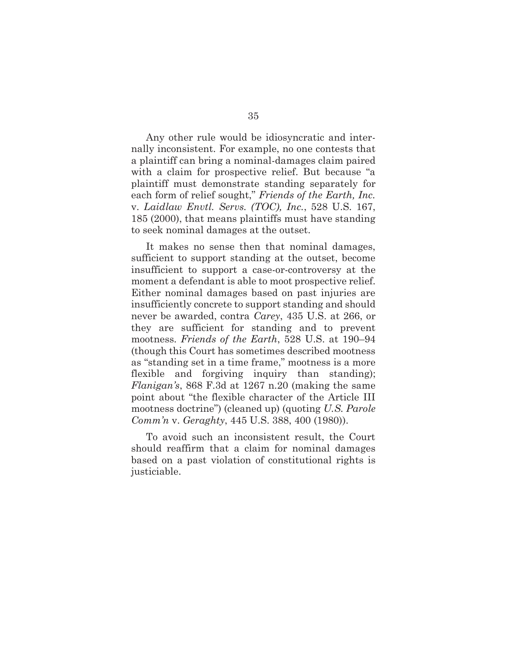Any other rule would be idiosyncratic and internally inconsistent. For example, no one contests that a plaintiff can bring a nominal-damages claim paired with a claim for prospective relief. But because "a plaintiff must demonstrate standing separately for each form of relief sought," *Friends of the Earth, Inc.*  v. *Laidlaw Envtl. Servs. (TOC), Inc.*, 528 U.S. 167, 185 (2000), that means plaintiffs must have standing to seek nominal damages at the outset.

It makes no sense then that nominal damages, sufficient to support standing at the outset, become insufficient to support a case-or-controversy at the moment a defendant is able to moot prospective relief. Either nominal damages based on past injuries are insufficiently concrete to support standing and should never be awarded, contra *Carey*, 435 U.S. at 266, or they are sufficient for standing and to prevent mootness. *Friends of the Earth*, 528 U.S. at 190–94 (though this Court has sometimes described mootness as "standing set in a time frame," mootness is a more flexible and forgiving inquiry than standing); *Flanigan's*, 868 F.3d at 1267 n.20 (making the same point about "the flexible character of the Article III mootness doctrine") (cleaned up) (quoting *U.S. Parole Comm'n* v. *Geraghty*, 445 U.S. 388, 400 (1980)).

To avoid such an inconsistent result, the Court should reaffirm that a claim for nominal damages based on a past violation of constitutional rights is justiciable.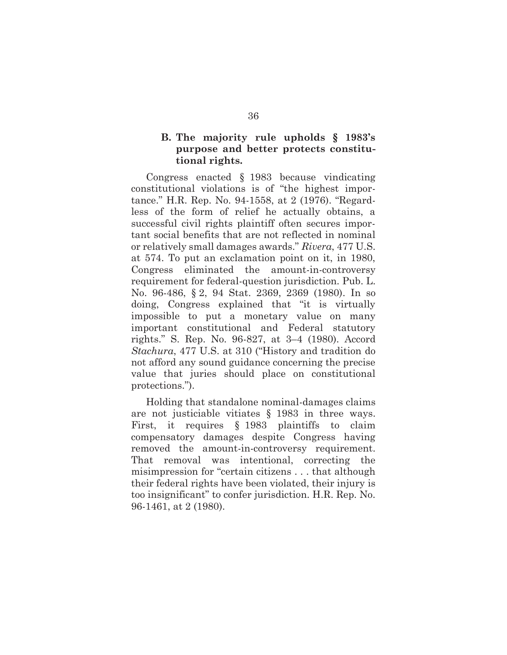### **B. The majority rule upholds § 1983's purpose and better protects constitutional rights.**

Congress enacted § 1983 because vindicating constitutional violations is of "the highest importance." H.R. Rep. No. 94-1558, at 2 (1976). "Regardless of the form of relief he actually obtains, a successful civil rights plaintiff often secures important social benefits that are not reflected in nominal or relatively small damages awards." *Rivera*, 477 U.S. at 574. To put an exclamation point on it, in 1980, Congress eliminated the amount-in-controversy requirement for federal-question jurisdiction. Pub. L. No. 96-486, § 2, 94 Stat. 2369, 2369 (1980). In so doing, Congress explained that "it is virtually impossible to put a monetary value on many important constitutional and Federal statutory rights." S. Rep. No. 96-827, at 3–4 (1980). Accord *Stachura*, 477 U.S. at 310 ("History and tradition do not afford any sound guidance concerning the precise value that juries should place on constitutional protections.").

Holding that standalone nominal-damages claims are not justiciable vitiates § 1983 in three ways. First, it requires § 1983 plaintiffs to claim compensatory damages despite Congress having removed the amount-in-controversy requirement. That removal was intentional, correcting the misimpression for "certain citizens . . . that although their federal rights have been violated, their injury is too insignificant" to confer jurisdiction. H.R. Rep. No. 96-1461, at 2 (1980).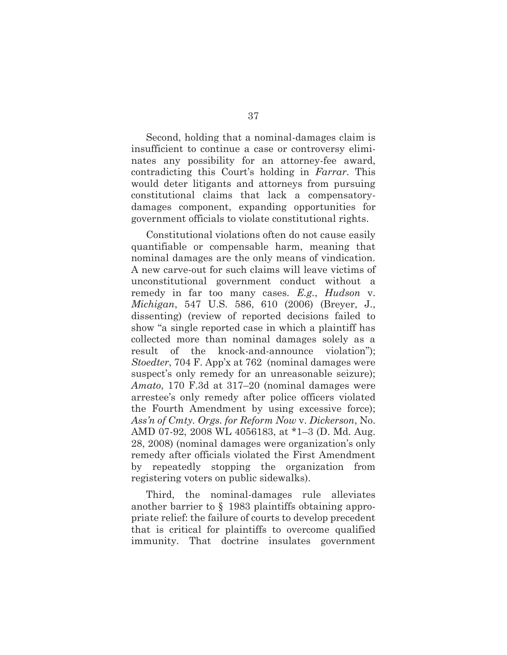Second, holding that a nominal-damages claim is insufficient to continue a case or controversy eliminates any possibility for an attorney-fee award, contradicting this Court's holding in *Farrar*. This would deter litigants and attorneys from pursuing constitutional claims that lack a compensatorydamages component, expanding opportunities for government officials to violate constitutional rights.

Constitutional violations often do not cause easily quantifiable or compensable harm, meaning that nominal damages are the only means of vindication. A new carve-out for such claims will leave victims of unconstitutional government conduct without a remedy in far too many cases. *E.g.*, *Hudson* v. *Michigan*, 547 U.S. 586, 610 (2006) (Breyer, J., dissenting) (review of reported decisions failed to show "a single reported case in which a plaintiff has collected more than nominal damages solely as a result of the knock-and-announce violation"); *Stoedter*, 704 F. App'x at 762 (nominal damages were suspect's only remedy for an unreasonable seizure); *Amato*, 170 F.3d at 317–20 (nominal damages were arrestee's only remedy after police officers violated the Fourth Amendment by using excessive force); *Ass'n of Cmty. Orgs. for Reform Now* v. *Dickerson*, No. AMD 07-92, 2008 WL 4056183, at \*1–3 (D. Md. Aug. 28, 2008) (nominal damages were organization's only remedy after officials violated the First Amendment by repeatedly stopping the organization from registering voters on public sidewalks).

Third, the nominal-damages rule alleviates another barrier to § 1983 plaintiffs obtaining appropriate relief: the failure of courts to develop precedent that is critical for plaintiffs to overcome qualified immunity. That doctrine insulates government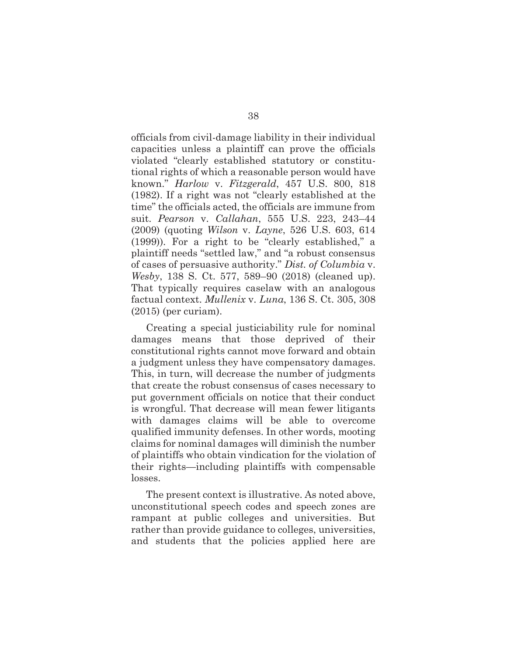officials from civil-damage liability in their individual capacities unless a plaintiff can prove the officials violated "clearly established statutory or constitutional rights of which a reasonable person would have known." *Harlow* v. *Fitzgerald*, 457 U.S. 800, 818 (1982). If a right was not "clearly established at the time" the officials acted, the officials are immune from suit. *Pearson* v. *Callahan*, 555 U.S. 223, 243–44 (2009) (quoting *Wilson* v. *Layne*, 526 U.S. 603, 614 (1999)). For a right to be "clearly established," a plaintiff needs "settled law," and "a robust consensus of cases of persuasive authority." *Dist. of Columbia* v. *Wesby*, 138 S. Ct. 577, 589–90 (2018) (cleaned up). That typically requires caselaw with an analogous factual context. *Mullenix* v. *Luna*, 136 S. Ct. 305, 308 (2015) (per curiam).

Creating a special justiciability rule for nominal damages means that those deprived of their constitutional rights cannot move forward and obtain a judgment unless they have compensatory damages. This, in turn, will decrease the number of judgments that create the robust consensus of cases necessary to put government officials on notice that their conduct is wrongful. That decrease will mean fewer litigants with damages claims will be able to overcome qualified immunity defenses. In other words, mooting claims for nominal damages will diminish the number of plaintiffs who obtain vindication for the violation of their rights—including plaintiffs with compensable losses.

The present context is illustrative. As noted above, unconstitutional speech codes and speech zones are rampant at public colleges and universities. But rather than provide guidance to colleges, universities, and students that the policies applied here are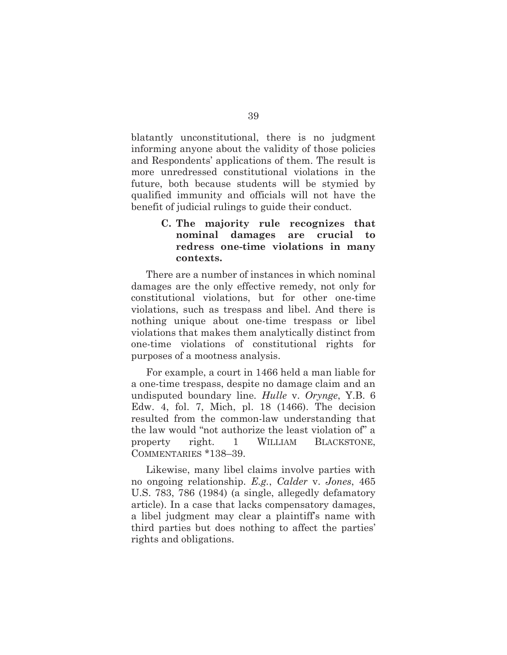blatantly unconstitutional, there is no judgment informing anyone about the validity of those policies and Respondents' applications of them. The result is more unredressed constitutional violations in the future, both because students will be stymied by qualified immunity and officials will not have the benefit of judicial rulings to guide their conduct.

# **C. The majority rule recognizes that nominal damages are crucial redress one-time violations in many contexts.**

There are a number of instances in which nominal damages are the only effective remedy, not only for constitutional violations, but for other one-time violations, such as trespass and libel. And there is nothing unique about one-time trespass or libel violations that makes them analytically distinct from one-time violations of constitutional rights for purposes of a mootness analysis.

For example, a court in 1466 held a man liable for a one-time trespass, despite no damage claim and an undisputed boundary line. *Hulle* v. *Orynge*, Y.B. 6 Edw. 4, fol. 7, Mich, pl. 18 (1466). The decision resulted from the common-law understanding that the law would "not authorize the least violation of" a property right. 1 WILLIAM BLACKSTONE, COMMENTARIES \*138–39.

Likewise, many libel claims involve parties with no ongoing relationship. *E.g.*, *Calder* v. *Jones*, 465 U.S. 783, 786 (1984) (a single, allegedly defamatory article). In a case that lacks compensatory damages, a libel judgment may clear a plaintiff's name with third parties but does nothing to affect the parties' rights and obligations.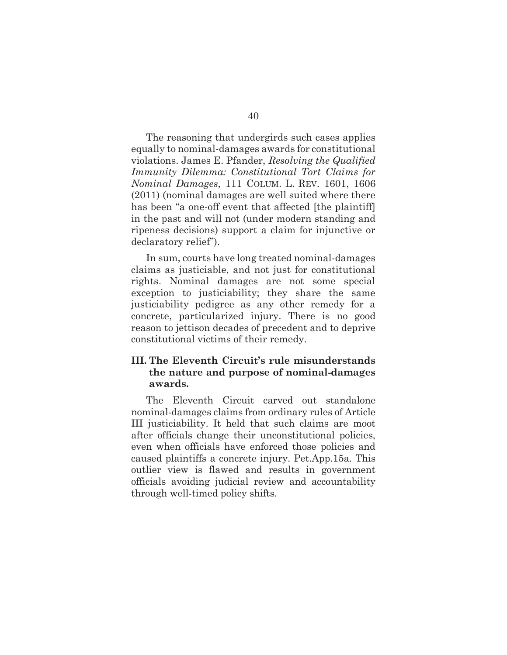The reasoning that undergirds such cases applies equally to nominal-damages awards for constitutional violations. James E. Pfander, *Resolving the Qualified Immunity Dilemma: Constitutional Tort Claims for Nominal Damages*, 111 COLUM. L. REV. 1601, 1606 (2011) (nominal damages are well suited where there has been "a one-off event that affected [the plaintiff] in the past and will not (under modern standing and ripeness decisions) support a claim for injunctive or declaratory relief").

In sum, courts have long treated nominal-damages claims as justiciable, and not just for constitutional rights. Nominal damages are not some special exception to justiciability; they share the same justiciability pedigree as any other remedy for a concrete, particularized injury. There is no good reason to jettison decades of precedent and to deprive constitutional victims of their remedy.

# **III. The Eleventh Circuit's rule misunderstands the nature and purpose of nominal-damages awards.**

The Eleventh Circuit carved out standalone nominal-damages claims from ordinary rules of Article III justiciability. It held that such claims are moot after officials change their unconstitutional policies, even when officials have enforced those policies and caused plaintiffs a concrete injury. Pet.App.15a. This outlier view is flawed and results in government officials avoiding judicial review and accountability through well-timed policy shifts.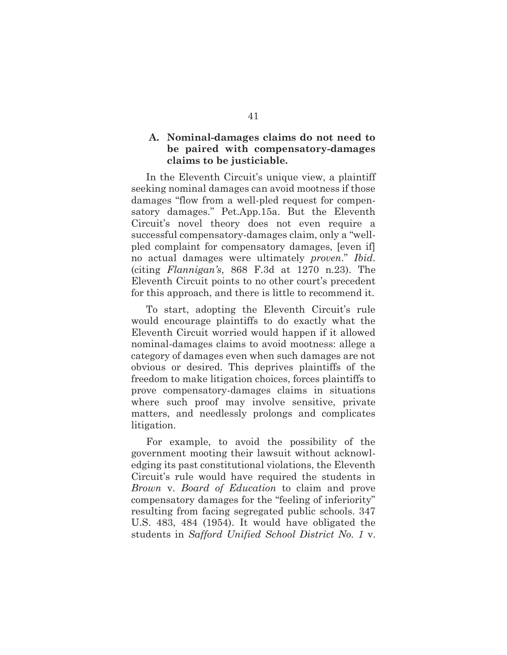### **A. Nominal-damages claims do not need to be paired with compensatory-damages claims to be justiciable.**

In the Eleventh Circuit's unique view, a plaintiff seeking nominal damages can avoid mootness if those damages "flow from a well-pled request for compensatory damages." Pet.App.15a. But the Eleventh Circuit's novel theory does not even require a successful compensatory-damages claim, only a "wellpled complaint for compensatory damages, [even if] no actual damages were ultimately *proven*." *Ibid.* (citing *Flannigan's*, 868 F.3d at 1270 n.23). The Eleventh Circuit points to no other court's precedent for this approach, and there is little to recommend it.

To start, adopting the Eleventh Circuit's rule would encourage plaintiffs to do exactly what the Eleventh Circuit worried would happen if it allowed nominal-damages claims to avoid mootness: allege a category of damages even when such damages are not obvious or desired. This deprives plaintiffs of the freedom to make litigation choices, forces plaintiffs to prove compensatory-damages claims in situations where such proof may involve sensitive, private matters, and needlessly prolongs and complicates litigation.

For example, to avoid the possibility of the government mooting their lawsuit without acknowledging its past constitutional violations, the Eleventh Circuit's rule would have required the students in *Brown* v. *Board of Education* to claim and prove compensatory damages for the "feeling of inferiority" resulting from facing segregated public schools. 347 U.S. 483, 484 (1954). It would have obligated the students in *Safford Unified School District No. 1* v.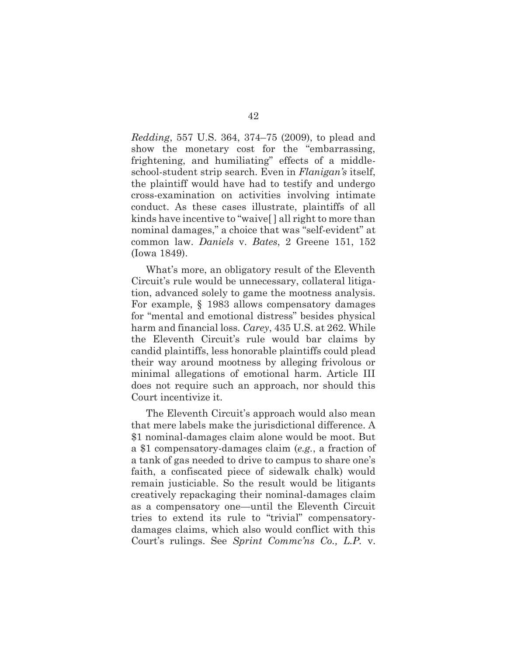*Redding*, 557 U.S. 364, 374–75 (2009), to plead and show the monetary cost for the "embarrassing, frightening, and humiliating" effects of a middleschool-student strip search. Even in *Flanigan's* itself, the plaintiff would have had to testify and undergo cross-examination on activities involving intimate conduct. As these cases illustrate, plaintiffs of all kinds have incentive to "waive[ ] all right to more than nominal damages," a choice that was "self-evident" at common law. *Daniels* v. *Bates*, 2 Greene 151, 152 (Iowa 1849).

What's more, an obligatory result of the Eleventh Circuit's rule would be unnecessary, collateral litigation, advanced solely to game the mootness analysis. For example, § 1983 allows compensatory damages for "mental and emotional distress" besides physical harm and financial loss. *Carey*, 435 U.S. at 262. While the Eleventh Circuit's rule would bar claims by candid plaintiffs, less honorable plaintiffs could plead their way around mootness by alleging frivolous or minimal allegations of emotional harm. Article III does not require such an approach, nor should this Court incentivize it.

The Eleventh Circuit's approach would also mean that mere labels make the jurisdictional difference. A \$1 nominal-damages claim alone would be moot. But a \$1 compensatory-damages claim (*e.g.*, a fraction of a tank of gas needed to drive to campus to share one's faith, a confiscated piece of sidewalk chalk) would remain justiciable. So the result would be litigants creatively repackaging their nominal-damages claim as a compensatory one—until the Eleventh Circuit tries to extend its rule to "trivial" compensatorydamages claims, which also would conflict with this Court's rulings. See *Sprint Commc'ns Co., L.P.* v.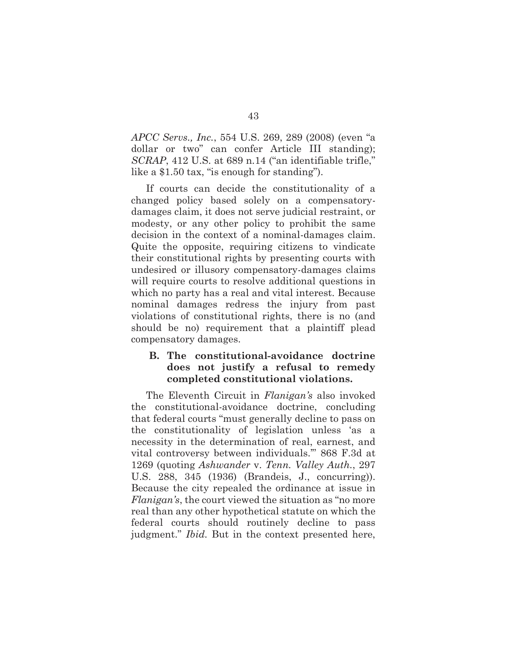*APCC Servs., Inc.*, 554 U.S. 269, 289 (2008) (even "a dollar or two" can confer Article III standing); *SCRAP*, 412 U.S. at 689 n.14 ("an identifiable trifle," like a \$1.50 tax, "is enough for standing").

If courts can decide the constitutionality of a changed policy based solely on a compensatorydamages claim, it does not serve judicial restraint, or modesty, or any other policy to prohibit the same decision in the context of a nominal-damages claim. Quite the opposite, requiring citizens to vindicate their constitutional rights by presenting courts with undesired or illusory compensatory-damages claims will require courts to resolve additional questions in which no party has a real and vital interest. Because nominal damages redress the injury from past violations of constitutional rights, there is no (and should be no) requirement that a plaintiff plead compensatory damages.

### **B. The constitutional-avoidance doctrine does not justify a refusal to remedy completed constitutional violations.**

The Eleventh Circuit in *Flanigan's* also invoked the constitutional-avoidance doctrine, concluding that federal courts "must generally decline to pass on the constitutionality of legislation unless 'as a necessity in the determination of real, earnest, and vital controversy between individuals.'" 868 F.3d at 1269 (quoting *Ashwander* v. *Tenn. Valley Auth.*, 297 U.S. 288, 345 (1936) (Brandeis, J., concurring)). Because the city repealed the ordinance at issue in *Flanigan's*, the court viewed the situation as "no more real than any other hypothetical statute on which the federal courts should routinely decline to pass judgment." *Ibid.* But in the context presented here,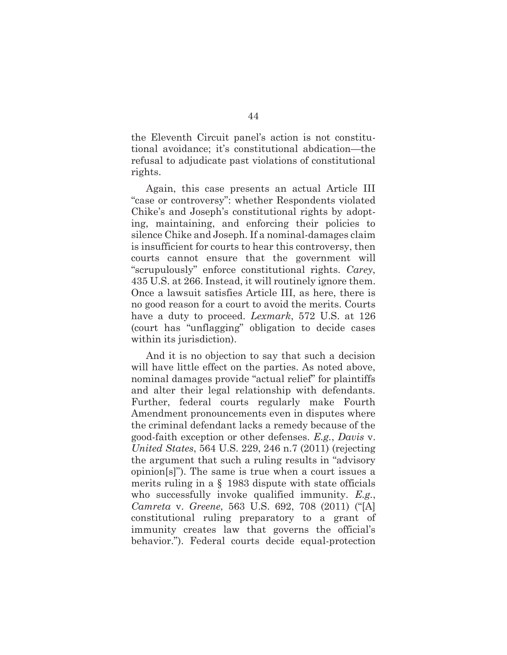the Eleventh Circuit panel's action is not constitutional avoidance; it's constitutional abdication—the refusal to adjudicate past violations of constitutional rights.

Again, this case presents an actual Article III "case or controversy": whether Respondents violated Chike's and Joseph's constitutional rights by adopting, maintaining, and enforcing their policies to silence Chike and Joseph. If a nominal-damages claim is insufficient for courts to hear this controversy, then courts cannot ensure that the government will "scrupulously" enforce constitutional rights. *Carey*, 435 U.S. at 266. Instead, it will routinely ignore them. Once a lawsuit satisfies Article III, as here, there is no good reason for a court to avoid the merits. Courts have a duty to proceed. *Lexmark*, 572 U.S. at 126 (court has "unflagging" obligation to decide cases within its jurisdiction).

And it is no objection to say that such a decision will have little effect on the parties. As noted above, nominal damages provide "actual relief" for plaintiffs and alter their legal relationship with defendants. Further, federal courts regularly make Fourth Amendment pronouncements even in disputes where the criminal defendant lacks a remedy because of the good-faith exception or other defenses. *E.g.*, *Davis* v. *United States*, 564 U.S. 229, 246 n.7 (2011) (rejecting the argument that such a ruling results in "advisory opinion[s]"). The same is true when a court issues a merits ruling in a § 1983 dispute with state officials who successfully invoke qualified immunity. *E.g.*, *Camreta* v. *Greene*, 563 U.S. 692, 708 (2011) ("[A] constitutional ruling preparatory to a grant of immunity creates law that governs the official's behavior."). Federal courts decide equal-protection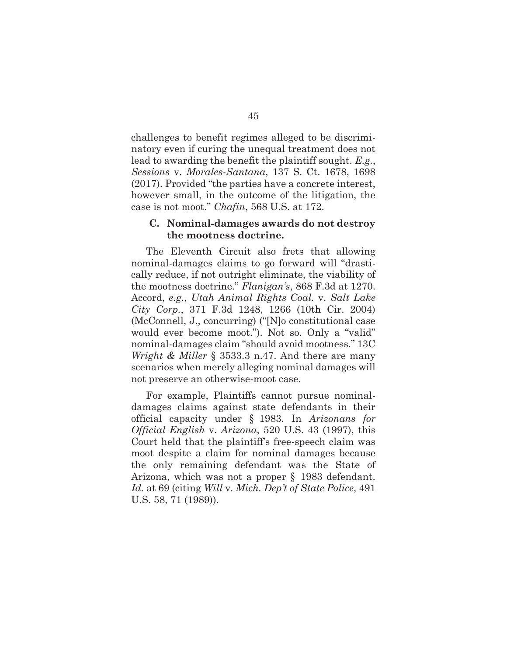challenges to benefit regimes alleged to be discriminatory even if curing the unequal treatment does not lead to awarding the benefit the plaintiff sought. *E.g.*, *Sessions* v. *Morales-Santana*, 137 S. Ct. 1678, 1698 (2017). Provided "the parties have a concrete interest, however small, in the outcome of the litigation, the case is not moot." *Chafin*, 568 U.S. at 172.

#### **C. Nominal-damages awards do not destroy the mootness doctrine.**

The Eleventh Circuit also frets that allowing nominal-damages claims to go forward will "drastically reduce, if not outright eliminate, the viability of the mootness doctrine." *Flanigan's*, 868 F.3d at 1270. Accord, *e.g.*, *Utah Animal Rights Coal.* v. *Salt Lake City Corp.*, 371 F.3d 1248, 1266 (10th Cir. 2004) (McConnell, J., concurring) ("[N]o constitutional case would ever become moot."). Not so. Only a "valid" nominal-damages claim "should avoid mootness." 13C *Wright & Miller* § 3533.3 n.47. And there are many scenarios when merely alleging nominal damages will not preserve an otherwise-moot case.

For example, Plaintiffs cannot pursue nominaldamages claims against state defendants in their official capacity under § 1983. In *Arizonans for Official English* v. *Arizona*, 520 U.S. 43 (1997), this Court held that the plaintiff's free-speech claim was moot despite a claim for nominal damages because the only remaining defendant was the State of Arizona, which was not a proper § 1983 defendant. *Id.* at 69 (citing *Will* v. *Mich. Dep't of State Police*, 491 U.S. 58, 71 (1989)).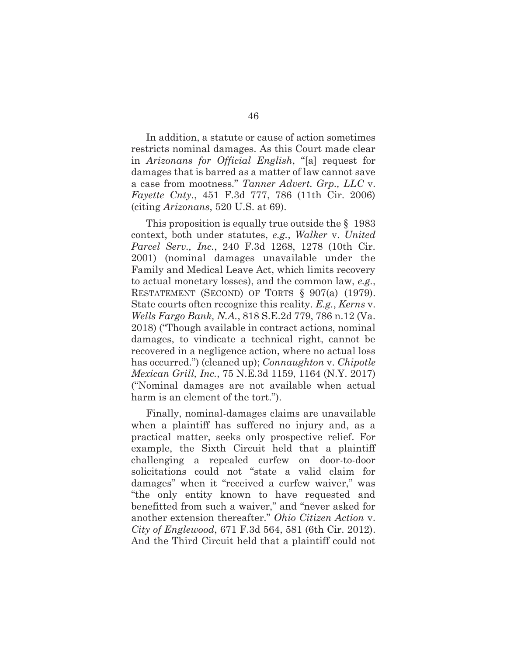In addition, a statute or cause of action sometimes restricts nominal damages. As this Court made clear in *Arizonans for Official English*, "[a] request for damages that is barred as a matter of law cannot save a case from mootness." *Tanner Advert. Grp., LLC* v. *Fayette Cnty.*, 451 F.3d 777, 786 (11th Cir. 2006) (citing *Arizonans*, 520 U.S. at 69).

This proposition is equally true outside the § 1983 context, both under statutes, *e.g.*, *Walker* v. *United Parcel Serv., Inc.*, 240 F.3d 1268, 1278 (10th Cir. 2001) (nominal damages unavailable under the Family and Medical Leave Act, which limits recovery to actual monetary losses), and the common law, *e.g.*, RESTATEMENT (SECOND) OF TORTS § 907(a) (1979). State courts often recognize this reality. *E.g.*, *Kerns* v. *Wells Fargo Bank, N.A.*, 818 S.E.2d 779, 786 n.12 (Va. 2018) ("Though available in contract actions, nominal damages, to vindicate a technical right, cannot be recovered in a negligence action, where no actual loss has occurred.") (cleaned up); *Connaughton* v. *Chipotle Mexican Grill, Inc.*, 75 N.E.3d 1159, 1164 (N.Y. 2017) ("Nominal damages are not available when actual harm is an element of the tort.").

Finally, nominal-damages claims are unavailable when a plaintiff has suffered no injury and, as a practical matter, seeks only prospective relief. For example, the Sixth Circuit held that a plaintiff challenging a repealed curfew on door-to-door solicitations could not "state a valid claim for damages" when it "received a curfew waiver," was "the only entity known to have requested and benefitted from such a waiver," and "never asked for another extension thereafter." *Ohio Citizen Action* v. *City of Englewood*, 671 F.3d 564, 581 (6th Cir. 2012). And the Third Circuit held that a plaintiff could not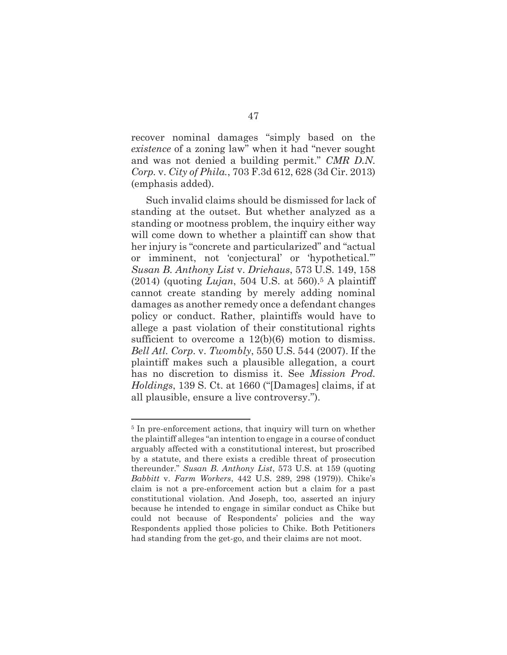recover nominal damages "simply based on the *existence* of a zoning law" when it had "never sought and was not denied a building permit." *CMR D.N. Corp.* v. *City of Phila.*, 703 F.3d 612, 628 (3d Cir. 2013) (emphasis added).

Such invalid claims should be dismissed for lack of standing at the outset. But whether analyzed as a standing or mootness problem, the inquiry either way will come down to whether a plaintiff can show that her injury is "concrete and particularized" and "actual or imminent, not 'conjectural' or 'hypothetical.'" *Susan B. Anthony List* v. *Driehaus*, 573 U.S. 149, 158  $(2014)$  (quoting *Lujan*, 504 U.S. at 560).<sup>5</sup> A plaintiff cannot create standing by merely adding nominal damages as another remedy once a defendant changes policy or conduct. Rather, plaintiffs would have to allege a past violation of their constitutional rights sufficient to overcome a  $12(b)(6)$  motion to dismiss. *Bell Atl. Corp.* v. *Twombly*, 550 U.S. 544 (2007). If the plaintiff makes such a plausible allegation, a court has no discretion to dismiss it. See *Mission Prod. Holdings*, 139 S. Ct. at 1660 ("[Damages] claims, if at all plausible, ensure a live controversy.").

<sup>&</sup>lt;sup>5</sup> In pre-enforcement actions, that inquiry will turn on whether the plaintiff alleges "an intention to engage in a course of conduct arguably affected with a constitutional interest, but proscribed by a statute, and there exists a credible threat of prosecution thereunder." *Susan B. Anthony List*, 573 U.S. at 159 (quoting *Babbitt* v. *Farm Workers*, 442 U.S. 289, 298 (1979)). Chike's claim is not a pre-enforcement action but a claim for a past constitutional violation. And Joseph, too, asserted an injury because he intended to engage in similar conduct as Chike but could not because of Respondents' policies and the way Respondents applied those policies to Chike. Both Petitioners had standing from the get-go, and their claims are not moot.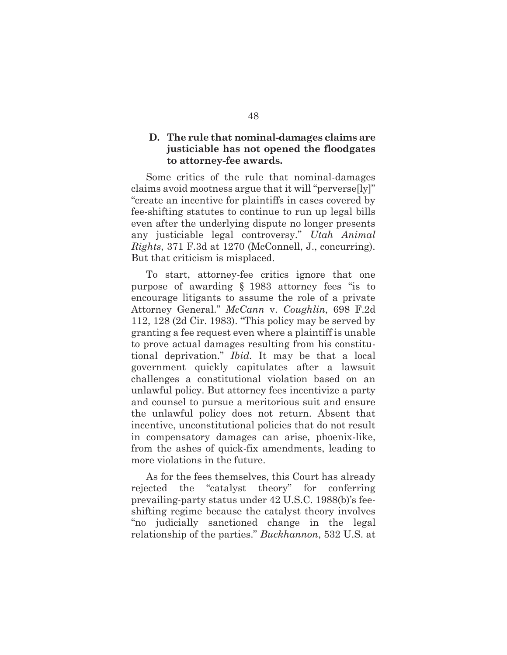### **D. The rule that nominal-damages claims are justiciable has not opened the floodgates to attorney-fee awards.**

Some critics of the rule that nominal-damages claims avoid mootness argue that it will "perverse[ly]" "create an incentive for plaintiffs in cases covered by fee-shifting statutes to continue to run up legal bills even after the underlying dispute no longer presents any justiciable legal controversy." *Utah Animal Rights*, 371 F.3d at 1270 (McConnell, J., concurring). But that criticism is misplaced.

To start, attorney-fee critics ignore that one purpose of awarding § 1983 attorney fees "is to encourage litigants to assume the role of a private Attorney General." *McCann* v. *Coughlin*, 698 F.2d 112, 128 (2d Cir. 1983). "This policy may be served by granting a fee request even where a plaintiff is unable to prove actual damages resulting from his constitutional deprivation." *Ibid.* It may be that a local government quickly capitulates after a lawsuit challenges a constitutional violation based on an unlawful policy. But attorney fees incentivize a party and counsel to pursue a meritorious suit and ensure the unlawful policy does not return. Absent that incentive, unconstitutional policies that do not result in compensatory damages can arise, phoenix-like, from the ashes of quick-fix amendments, leading to more violations in the future.

As for the fees themselves, this Court has already rejected the "catalyst theory" for conferring prevailing-party status under 42 U.S.C. 1988(b)'s feeshifting regime because the catalyst theory involves "no judicially sanctioned change in the legal relationship of the parties." *Buckhannon*, 532 U.S. at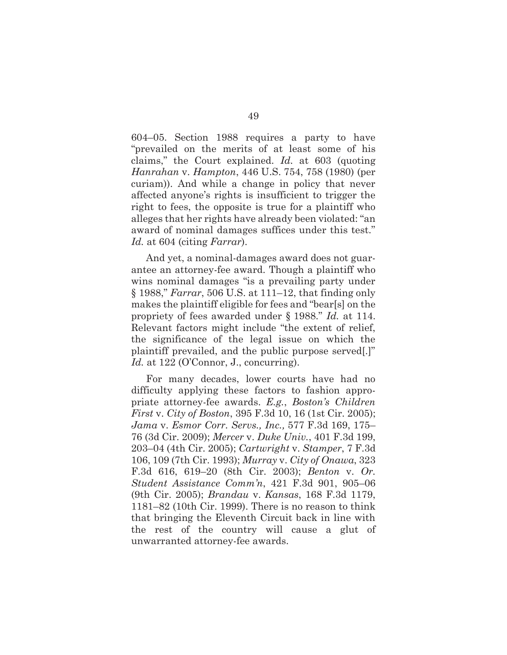604–05. Section 1988 requires a party to have "prevailed on the merits of at least some of his claims," the Court explained. *Id.* at 603 (quoting *Hanrahan* v. *Hampton*, 446 U.S. 754, 758 (1980) (per curiam)). And while a change in policy that never affected anyone's rights is insufficient to trigger the right to fees, the opposite is true for a plaintiff who alleges that her rights have already been violated: "an award of nominal damages suffices under this test." *Id.* at 604 (citing *Farrar*).

And yet, a nominal-damages award does not guarantee an attorney-fee award. Though a plaintiff who wins nominal damages "is a prevailing party under § 1988," *Farrar*, 506 U.S. at 111–12, that finding only makes the plaintiff eligible for fees and "bear[s] on the propriety of fees awarded under § 1988." *Id.* at 114. Relevant factors might include "the extent of relief, the significance of the legal issue on which the plaintiff prevailed, and the public purpose served[.]" Id. at 122 (O'Connor, J., concurring).

For many decades, lower courts have had no difficulty applying these factors to fashion appropriate attorney-fee awards. *E.g.*, *Boston's Children First* v. *City of Boston*, 395 F.3d 10, 16 (1st Cir. 2005); *Jama* v. *Esmor Corr. Servs., Inc.,* 577 F.3d 169, 175– 76 (3d Cir. 2009); *Mercer* v. *Duke Univ.*, 401 F.3d 199, 203–04 (4th Cir. 2005); *Cartwright* v. *Stamper*, 7 F.3d 106, 109 (7th Cir. 1993); *Murray* v. *City of Onawa*, 323 F.3d 616, 619–20 (8th Cir. 2003); *Benton* v. *Or. Student Assistance Comm'n*, 421 F.3d 901, 905–06 (9th Cir. 2005); *Brandau* v. *Kansas*, 168 F.3d 1179, 1181–82 (10th Cir. 1999). There is no reason to think that bringing the Eleventh Circuit back in line with the rest of the country will cause a glut of unwarranted attorney-fee awards.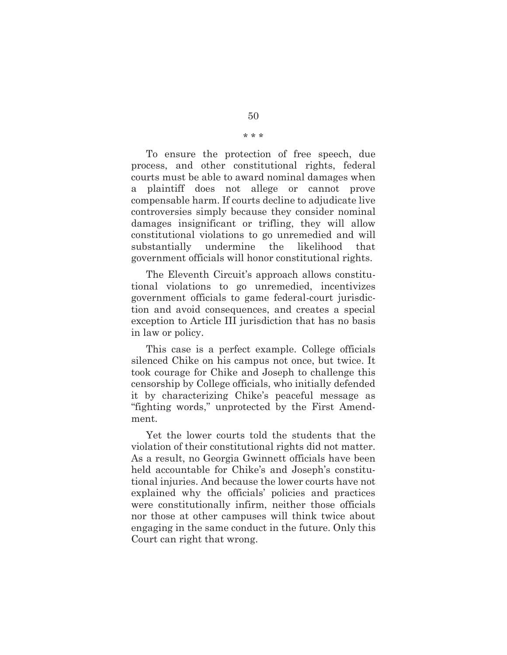To ensure the protection of free speech, due process, and other constitutional rights, federal courts must be able to award nominal damages when a plaintiff does not allege or cannot prove compensable harm. If courts decline to adjudicate live controversies simply because they consider nominal damages insignificant or trifling, they will allow constitutional violations to go unremedied and will substantially undermine the likelihood that government officials will honor constitutional rights.

The Eleventh Circuit's approach allows constitutional violations to go unremedied, incentivizes government officials to game federal-court jurisdiction and avoid consequences, and creates a special exception to Article III jurisdiction that has no basis in law or policy.

This case is a perfect example. College officials silenced Chike on his campus not once, but twice. It took courage for Chike and Joseph to challenge this censorship by College officials, who initially defended it by characterizing Chike's peaceful message as "fighting words," unprotected by the First Amendment.

Yet the lower courts told the students that the violation of their constitutional rights did not matter. As a result, no Georgia Gwinnett officials have been held accountable for Chike's and Joseph's constitutional injuries. And because the lower courts have not explained why the officials' policies and practices were constitutionally infirm, neither those officials nor those at other campuses will think twice about engaging in the same conduct in the future. Only this Court can right that wrong.

\* \* \*